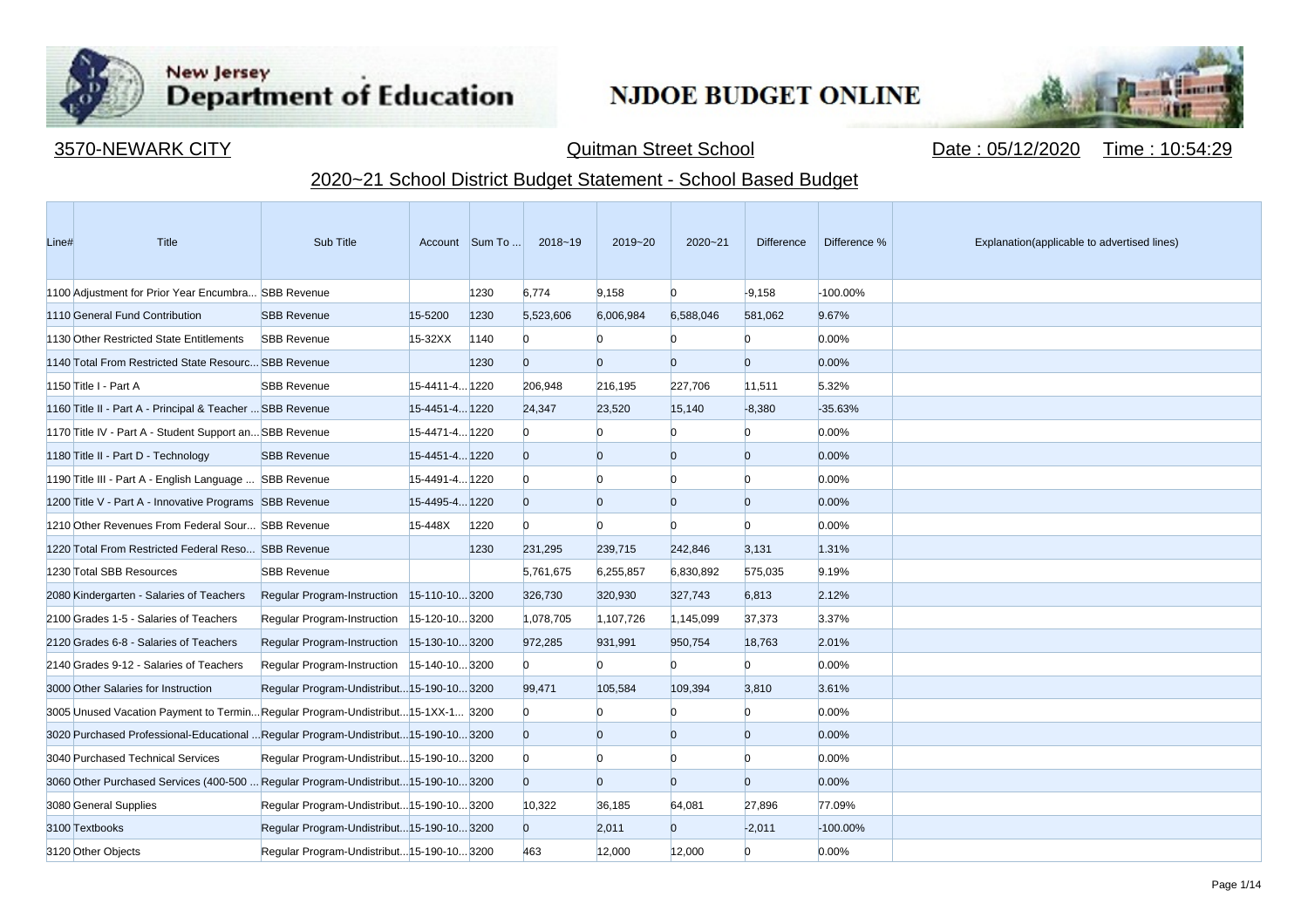

**Contract Contract** 

# New Jersey<br>Department of Education

## **NJDOE BUDGET ONLINE**



3570-NEWARK CITY Quitman Street School Date : 05/12/2020 Time : 10:54:29

### 2020~21 School District Budget Statement - School Based Budget

| Line# | <b>Title</b>                                                                        | Sub Title                                  |                | Account Sum To | $2018 - 19$    | 2019~20        | $2020 - 21$    | <b>Difference</b> | Difference % | Explanation(applicable to advertised lines) |
|-------|-------------------------------------------------------------------------------------|--------------------------------------------|----------------|----------------|----------------|----------------|----------------|-------------------|--------------|---------------------------------------------|
|       | 1100 Adjustment for Prior Year Encumbra SBB Revenue                                 |                                            |                | 1230           | 6,774          | 9,158          | $\Omega$       | $-9,158$          | -100.00%     |                                             |
|       | 1110 General Fund Contribution                                                      | <b>SBB Revenue</b>                         | 15-5200        | 1230           | 5,523,606      | 6,006,984      | 6,588,046      | 581,062           | 9.67%        |                                             |
|       | 1130 Other Restricted State Entitlements                                            | <b>SBB Revenue</b>                         | $15-32XX$      | 1140           | $\Omega$       | n              |                | n                 | 0.00%        |                                             |
|       | 1140 Total From Restricted State Resourc SBB Revenue                                |                                            |                | 1230           | $\overline{0}$ | $\overline{0}$ | $\overline{0}$ | $\overline{0}$    | 0.00%        |                                             |
|       | 1150 Title I - Part A                                                               | <b>SBB Revenue</b>                         | 15-4411-4 1220 |                | 206,948        | 216,195        | 227,706        | 11,511            | 5.32%        |                                             |
|       | 1160 Title II - Part A - Principal & Teacher  SBB Revenue                           |                                            | 15-4451-4 1220 |                | 24,347         | 23,520         | 15,140         | $-8,380$          | $-35.63%$    |                                             |
|       | 1170 Title IV - Part A - Student Support an SBB Revenue                             |                                            | 15-4471-4 1220 |                | $\overline{0}$ | n              | $\Omega$       | $\mathbf{0}$      | 0.00%        |                                             |
|       | 1180 Title II - Part D - Technology                                                 | <b>SBB Revenue</b>                         | 15-4451-4 1220 |                | $\Omega$       | $\overline{0}$ | $\overline{0}$ | $\overline{0}$    | 0.00%        |                                             |
|       | 1190 Title III - Part A - English Language  SBB Revenue                             |                                            | 15-4491-4 1220 |                | $\Omega$       | $\Omega$       | n              | n                 | 0.00%        |                                             |
|       | 1200 Title V - Part A - Innovative Programs SBB Revenue                             |                                            | 15-4495-4 1220 |                | $\overline{0}$ | $\overline{0}$ | $\overline{0}$ | $\overline{0}$    | 0.00%        |                                             |
|       | 1210 Other Revenues From Federal Sour SBB Revenue                                   |                                            | 15-448X        | 1220           | $\overline{0}$ | $\Omega$       | n              | $\Omega$          | 0.00%        |                                             |
|       | 1220 Total From Restricted Federal Reso SBB Revenue                                 |                                            |                | 1230           | 231,295        | 239,715        | 242,846        | 3,131             | 1.31%        |                                             |
|       | 1230 Total SBB Resources                                                            | <b>SBB Revenue</b>                         |                |                | 5,761,675      | 6,255,857      | 6,830,892      | 575,035           | 9.19%        |                                             |
|       | 2080 Kindergarten - Salaries of Teachers                                            | Regular Program-Instruction 15-110-103200  |                |                | 326,730        | 320,930        | 327,743        | 6,813             | 2.12%        |                                             |
|       | 2100 Grades 1-5 - Salaries of Teachers                                              | Regular Program-Instruction 15-120-103200  |                |                | 1,078,705      | 1,107,726      | 1,145,099      | 37,373            | 3.37%        |                                             |
|       | 2120 Grades 6-8 - Salaries of Teachers                                              | Regular Program-Instruction 15-130-103200  |                |                | 972,285        | 931,991        | 950,754        | 18,763            | 2.01%        |                                             |
|       | 2140 Grades 9-12 - Salaries of Teachers                                             | Regular Program-Instruction 15-140-103200  |                |                | $\mathbf{0}$   | $\overline{0}$ | n              | $\mathbf{0}$      | 0.00%        |                                             |
|       | 3000 Other Salaries for Instruction                                                 | Regular Program-Undistribut 15-190-10 3200 |                |                | 99,471         | 105,584        | 109,394        | 3,810             | 3.61%        |                                             |
|       | 3005 Unused Vacation Payment to TerminRegular Program-Undistribut15-1XX-1 3200      |                                            |                |                | $\overline{0}$ |                | n              | n                 | 0.00%        |                                             |
|       | 3020 Purchased Professional-Educational  Regular Program-Undistribut 15-190-10 3200 |                                            |                |                | $\overline{0}$ | $\overline{0}$ | $\overline{0}$ | $\overline{0}$    | 0.00%        |                                             |
|       | 3040 Purchased Technical Services                                                   | Regular Program-Undistribut 15-190-10 3200 |                |                | $\Omega$       | $\Omega$       | n              | n                 | 0.00%        |                                             |
|       | 3060 Other Purchased Services (400-500  Regular Program-Undistribut15-190-10 3200   |                                            |                |                | $\overline{0}$ | $\overline{0}$ | $\overline{0}$ | $\overline{0}$    | 0.00%        |                                             |
|       | 3080 General Supplies                                                               | Regular Program-Undistribut 15-190-10 3200 |                |                | 10,322         | 36,185         | 64,081         | 27,896            | 77.09%       |                                             |
|       | 3100 Textbooks                                                                      | Regular Program-Undistribut 15-190-10 3200 |                |                | $\overline{0}$ | 2,011          | $\overline{0}$ | $-2,011$          | $-100.00\%$  |                                             |
|       | 3120 Other Objects                                                                  | Regular Program-Undistribut 15-190-10 3200 |                |                | 463            | 12,000         | 12,000         | $\overline{0}$    | 0.00%        |                                             |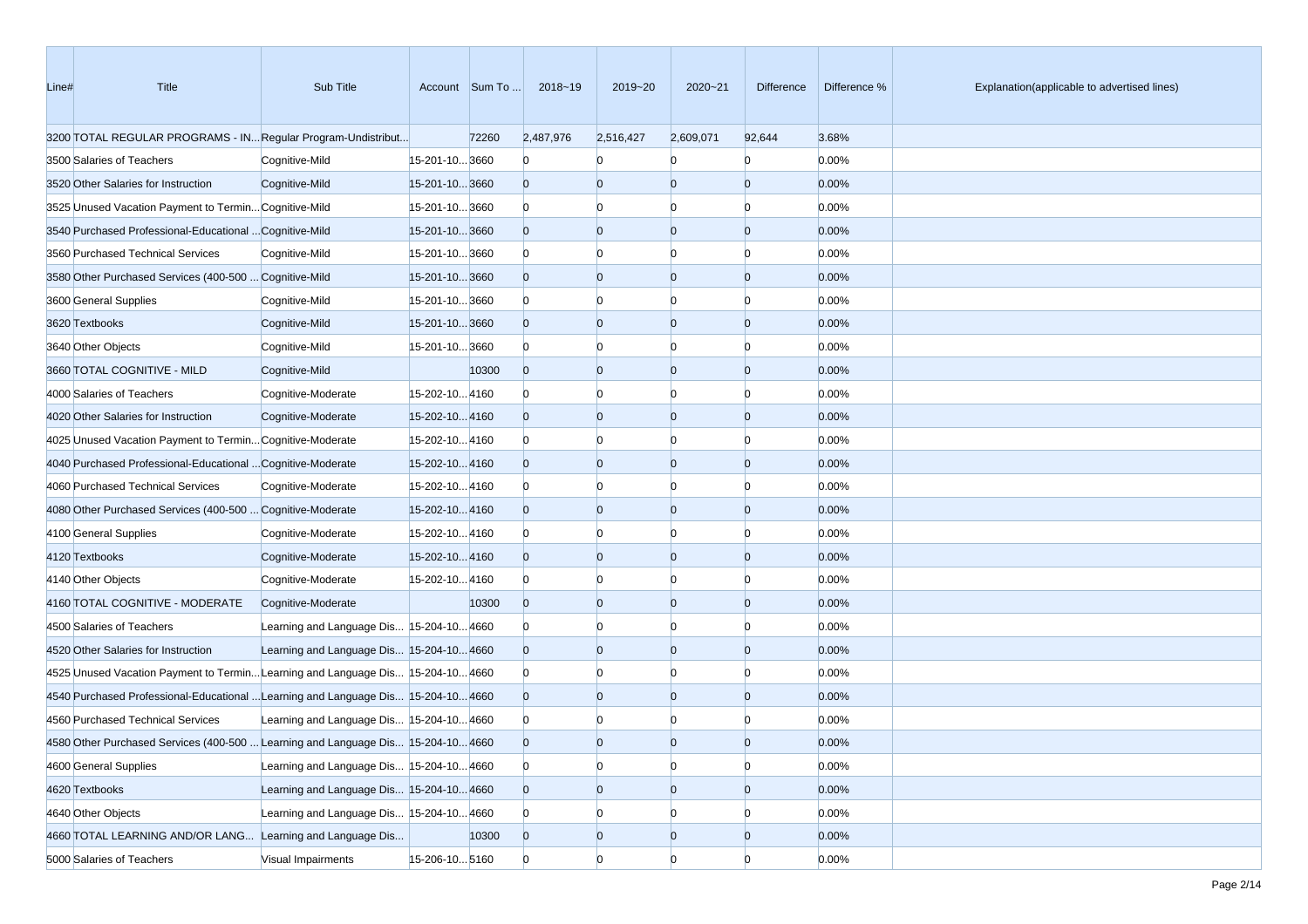| Line# | Title                                                                             | Sub Title                                |                | Account Sum To | 2018~19        | 2019~20        | 2020~21        | Difference     | Difference % | Explanation(applicable to advertised lines) |
|-------|-----------------------------------------------------------------------------------|------------------------------------------|----------------|----------------|----------------|----------------|----------------|----------------|--------------|---------------------------------------------|
|       | 3200 TOTAL REGULAR PROGRAMS - IN Regular Program-Undistribut                      |                                          |                | 72260          | 2,487,976      | 2,516,427      | 2,609,071      | 92,644         | 3.68%        |                                             |
|       | 3500 Salaries of Teachers                                                         | Cognitive-Mild                           | 15-201-10 3660 |                | $\Omega$       |                |                | $\Omega$       | 0.00%        |                                             |
|       | 3520 Other Salaries for Instruction                                               | Cognitive-Mild                           | 15-201-10 3660 |                | $\overline{0}$ | $\overline{0}$ | $\overline{0}$ | $\overline{0}$ | 0.00%        |                                             |
|       | 3525 Unused Vacation Payment to Termin Cognitive-Mild                             |                                          | 15-201-10 3660 |                | $\Omega$       | $\Omega$       | $\Omega$       | $\Omega$       | 0.00%        |                                             |
|       | 3540 Purchased Professional-Educational  Cognitive-Mild                           |                                          | 15-201-10 3660 |                | $\overline{0}$ | $\overline{0}$ | $\overline{0}$ | $\Omega$       | 0.00%        |                                             |
|       | 3560 Purchased Technical Services                                                 | Cognitive-Mild                           | 15-201-10 3660 |                | $\mathbf{0}$   | $\Omega$       | $\Omega$       | $\Omega$       | 0.00%        |                                             |
|       | 3580 Other Purchased Services (400-500  Cognitive-Mild                            |                                          | 15-201-10 3660 |                | $\overline{0}$ | $\overline{0}$ | $\overline{0}$ | $\overline{0}$ | 0.00%        |                                             |
|       | 3600 General Supplies                                                             | Cognitive-Mild                           | 15-201-10 3660 |                | $\mathbf{0}$   | $\Omega$       | $\Omega$       | $\Omega$       | 0.00%        |                                             |
|       | 3620 Textbooks                                                                    | Cognitive-Mild                           | 15-201-10 3660 |                | $\overline{0}$ | $\overline{0}$ | $\overline{0}$ | $\Omega$       | 0.00%        |                                             |
|       | 3640 Other Objects                                                                | Cognitive-Mild                           | 15-201-10 3660 |                | $\Omega$       | $\Omega$       | $\Omega$       | n              | 0.00%        |                                             |
|       | 3660 TOTAL COGNITIVE - MILD                                                       | Cognitive-Mild                           |                | 10300          | $\overline{0}$ | $\overline{0}$ | $\overline{0}$ | $\Omega$       | 0.00%        |                                             |
|       | 4000 Salaries of Teachers                                                         | Cognitive-Moderate                       | 15-202-10 4160 |                | $\Omega$       | $\Omega$       | $\Omega$       | $\Omega$       | 0.00%        |                                             |
|       | 4020 Other Salaries for Instruction                                               | Cognitive-Moderate                       | 15-202-104160  |                | $\overline{0}$ | $\overline{0}$ | $\overline{0}$ | $\Omega$       | 0.00%        |                                             |
|       | 4025 Unused Vacation Payment to Termin Cognitive-Moderate                         |                                          | 15-202-104160  |                | $\mathbf{0}$   | $\Omega$       | $\Omega$       | $\Omega$       | 0.00%        |                                             |
|       | 4040 Purchased Professional-Educational  Cognitive-Moderate                       |                                          | 15-202-104160  |                | $\overline{0}$ | $\overline{0}$ | $\overline{0}$ | $\overline{0}$ | 0.00%        |                                             |
|       | 4060 Purchased Technical Services                                                 | Cognitive-Moderate                       | 15-202-104160  |                | $\Omega$       | $\Omega$       | $\Omega$       | $\Omega$       | 0.00%        |                                             |
|       | 4080 Other Purchased Services (400-500  Cognitive-Moderate                        |                                          | 15-202-104160  |                | $\overline{0}$ | $\overline{0}$ | $\overline{0}$ | $\Omega$       | 0.00%        |                                             |
|       | 4100 General Supplies                                                             | Cognitive-Moderate                       | 15-202-104160  |                | $\mathbf{0}$   | $\Omega$       | $\Omega$       | n              | 0.00%        |                                             |
|       | 4120 Textbooks                                                                    | Cognitive-Moderate                       | 15-202-104160  |                | $\overline{0}$ | $\overline{0}$ | $\overline{0}$ | $\Omega$       | 0.00%        |                                             |
|       | 4140 Other Objects                                                                | Cognitive-Moderate                       | 15-202-104160  |                | $\Omega$       | $\Omega$       | $\Omega$       | $\Omega$       | 0.00%        |                                             |
|       | 4160 TOTAL COGNITIVE - MODERATE                                                   | Cognitive-Moderate                       |                | 10300          | $\overline{0}$ | $\overline{0}$ | $\overline{0}$ | $\overline{0}$ | 0.00%        |                                             |
|       | 4500 Salaries of Teachers                                                         | Learning and Language Dis 15-204-10 4660 |                |                | $\mathbf{0}$   | $\Omega$       | $\Omega$       | $\Omega$       | 0.00%        |                                             |
|       | 4520 Other Salaries for Instruction                                               | Learning and Language Dis 15-204-10 4660 |                |                | $\overline{0}$ | $\overline{0}$ | $\overline{0}$ | $\Omega$       | 0.00%        |                                             |
|       | 4525 Unused Vacation Payment to Termin Learning and Language Dis 15-204-10 4660   |                                          |                |                | $\Omega$       | $\Omega$       | $\Omega$       | $\Omega$       | 0.00%        |                                             |
|       | 4540 Purchased Professional-Educational  Learning and Language Dis 15-204-10 4660 |                                          |                |                | $\overline{0}$ | $\overline{0}$ | $\overline{0}$ | $\Omega$       | 0.00%        |                                             |
|       | 4560 Purchased Technical Services                                                 | Learning and Language Dis 15-204-10 4660 |                |                | $\Omega$       |                |                |                | 0.00%        |                                             |
|       | 4580 Other Purchased Services (400-500  Learning and Language Dis 15-204-10 4660  |                                          |                |                | $\Omega$       | $\Omega$       | $\Omega$       | $\Omega$       | 0.00%        |                                             |
|       | 4600 General Supplies                                                             | Learning and Language Dis 15-204-10 4660 |                |                | $\overline{0}$ | $\overline{0}$ | $\overline{0}$ | $\overline{0}$ | 0.00%        |                                             |
|       | 4620 Textbooks                                                                    | Learning and Language Dis 15-204-10 4660 |                |                | $\overline{0}$ | $\overline{0}$ | $\overline{0}$ | $\overline{0}$ | 0.00%        |                                             |
|       | 4640 Other Objects                                                                | Learning and Language Dis 15-204-10 4660 |                |                | $\Omega$       | $\overline{0}$ | $\overline{0}$ | $\Omega$       | 0.00%        |                                             |
|       | 4660 TOTAL LEARNING AND/OR LANG Learning and Language Dis                         |                                          |                | 10300          | $\overline{0}$ | $\overline{0}$ | $\overline{0}$ | $\overline{0}$ | 0.00%        |                                             |
|       | 5000 Salaries of Teachers                                                         | Visual Impairments                       | 15-206-10 5160 |                | $\overline{0}$ | $\overline{0}$ | $\Omega$       | $\overline{0}$ | 0.00%        |                                             |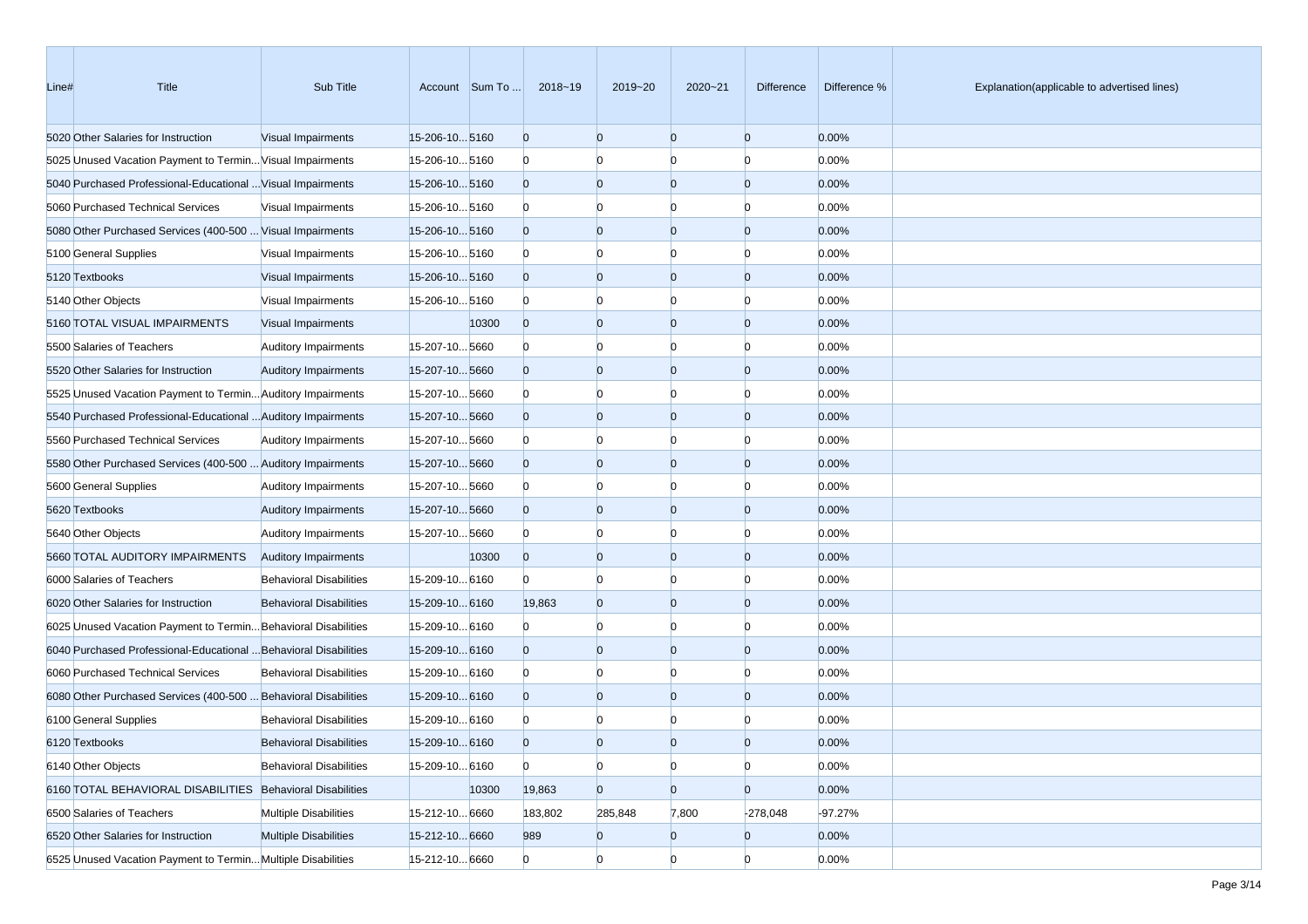| Line# | Title                                                            | Sub Title                      |                      | Account Sum To | 2018~19        | 2019~20        | 2020~21        | Difference     | Difference % | Explanation(applicable to advertised lines) |
|-------|------------------------------------------------------------------|--------------------------------|----------------------|----------------|----------------|----------------|----------------|----------------|--------------|---------------------------------------------|
|       | 5020 Other Salaries for Instruction                              | Visual Impairments             | 15-206-105160        |                | $\overline{0}$ | $\overline{0}$ | $\overline{0}$ | $\overline{0}$ | 0.00%        |                                             |
|       | 5025 Unused Vacation Payment to Termin Visual Impairments        |                                | 15-206-105160        |                | $\mathbf{0}$   | $\Omega$       | $\Omega$       | $\Omega$       | 0.00%        |                                             |
|       | 5040 Purchased Professional-Educational  Visual Impairments      |                                | 15-206-105160        |                | $\overline{0}$ | $\mathbf{0}$   | $\overline{0}$ | $\overline{0}$ | 0.00%        |                                             |
|       | 5060 Purchased Technical Services                                | Visual Impairments             | 15-206-10 5160       |                | $\mathbf{0}$   | $\Omega$       | $\Omega$       | n              | 0.00%        |                                             |
|       | 5080 Other Purchased Services (400-500  Visual Impairments       |                                | 15-206-105160        |                | $\overline{0}$ | $\Omega$       | $\overline{0}$ | $\Omega$       | 0.00%        |                                             |
|       | 5100 General Supplies                                            | Visual Impairments             | 15-206-10 5160       |                | $\mathbf{0}$   | $\Omega$       | $\Omega$       | n              | 0.00%        |                                             |
|       | 5120 Textbooks                                                   | Visual Impairments             | 15-206-10 5160       |                | $\overline{0}$ | $\overline{0}$ | $\overline{0}$ | $\overline{0}$ | 0.00%        |                                             |
|       | 5140 Other Objects                                               | Visual Impairments             | 15-206-10 5160       |                | $\mathbf{0}$   | $\Omega$       | $\Omega$       | $\Omega$       | 0.00%        |                                             |
|       | 5160 TOTAL VISUAL IMPAIRMENTS                                    | Visual Impairments             |                      | 10300          | $\overline{0}$ | $\Omega$       | $\overline{0}$ | $\Omega$       | 0.00%        |                                             |
|       | 5500 Salaries of Teachers                                        | <b>Auditory Impairments</b>    | 15-207-105660        |                | $\mathbf{0}$   | $\Omega$       | $\Omega$       | O              | 0.00%        |                                             |
|       | 5520 Other Salaries for Instruction                              | <b>Auditory Impairments</b>    | 15-207-105660        |                | $\overline{0}$ | $\Omega$       | $\overline{0}$ | $\Omega$       | 0.00%        |                                             |
|       | 5525 Unused Vacation Payment to Termin Auditory Impairments      |                                | 15-207-10 5660       |                | $\mathbf{0}$   | $\Omega$       | $\Omega$       | n              | 0.00%        |                                             |
|       | 5540 Purchased Professional-Educational  Auditory Impairments    |                                | 15-207-10 5660       |                | $\overline{0}$ | $\Omega$       | $\overline{0}$ | $\overline{0}$ | 0.00%        |                                             |
|       | 5560 Purchased Technical Services                                | <b>Auditory Impairments</b>    | 15-207-105660        |                | $\mathbf{0}$   | $\Omega$       | $\Omega$       | $\Omega$       | 0.00%        |                                             |
|       | 5580 Other Purchased Services (400-500  Auditory Impairments     |                                | 15-207-105660        |                | $\overline{0}$ | $\Omega$       | $\overline{0}$ | $\Omega$       | 0.00%        |                                             |
|       | 5600 General Supplies                                            | <b>Auditory Impairments</b>    | 15-207-105660        |                | $\mathbf{0}$   | $\Omega$       | $\Omega$       | n              | 0.00%        |                                             |
|       | 5620 Textbooks                                                   | <b>Auditory Impairments</b>    | 15-207-10 5660       |                | $\overline{0}$ | $\Omega$       | $\overline{0}$ | $\Omega$       | 0.00%        |                                             |
|       | 5640 Other Objects                                               | <b>Auditory Impairments</b>    | 15-207-105660        |                | $\mathbf{0}$   | $\Omega$       | $\Omega$       | n              | 0.00%        |                                             |
|       | 5660 TOTAL AUDITORY IMPAIRMENTS                                  | <b>Auditory Impairments</b>    |                      | 10300          | $\overline{0}$ | $\Omega$       | $\overline{0}$ | $\overline{0}$ | 0.00%        |                                             |
|       | 6000 Salaries of Teachers                                        | <b>Behavioral Disabilities</b> | 15-209-10 6160       |                | $\Omega$       | $\Omega$       | $\Omega$       | $\Omega$       | 0.00%        |                                             |
|       | 6020 Other Salaries for Instruction                              | <b>Behavioral Disabilities</b> | 15-209-10 6160       |                | 19,863         | $\overline{0}$ | $\overline{0}$ | $\Omega$       | 0.00%        |                                             |
|       | 6025 Unused Vacation Payment to Termin Behavioral Disabilities   |                                | 15-209-10 6160       |                | $\mathbf{0}$   | $\Omega$       | $\Omega$       | O              | 0.00%        |                                             |
|       | 6040 Purchased Professional-Educational  Behavioral Disabilities |                                | $15 - 209 - 10 6160$ |                | $\overline{0}$ | $\Omega$       | $\overline{0}$ | $\Omega$       | 0.00%        |                                             |
|       | 6060 Purchased Technical Services                                | <b>Behavioral Disabilities</b> | 15-209-10 6160       |                | $\mathbf{0}$   | $\Omega$       | $\Omega$       | n              | 0.00%        |                                             |
|       | 6080 Other Purchased Services (400-500  Behavioral Disabilities  |                                | $15 - 209 - 10 6160$ |                | $\overline{0}$ | $\Omega$       | $\overline{0}$ | $\Omega$       | 0.00%        |                                             |
|       | 6100 General Supplies                                            | <b>Behavioral Disabilities</b> | 15-209-10 6160       |                | $\mathbf{0}$   |                |                |                | 0.00%        |                                             |
|       | 6120 Textbooks                                                   | <b>Behavioral Disabilities</b> | 15-209-10 6160       |                | $\Omega$       | $\Omega$       | $\Omega$       | n              | 0.00%        |                                             |
|       | 6140 Other Objects                                               | <b>Behavioral Disabilities</b> | 15-209-10 6160       |                | $\overline{0}$ | $\bf{0}$       | $\overline{0}$ | $\overline{0}$ | 0.00%        |                                             |
|       | 6160 TOTAL BEHAVIORAL DISABILITIES Behavioral Disabilities       |                                |                      | 10300          | 19,863         | $\overline{0}$ | $\overline{0}$ | $\overline{0}$ | 0.00%        |                                             |
|       | 6500 Salaries of Teachers                                        | <b>Multiple Disabilities</b>   | 15-212-10 6660       |                | 183,802        | 285,848        | 7,800          | $-278,048$     | $-97.27%$    |                                             |
|       | 6520 Other Salaries for Instruction                              | <b>Multiple Disabilities</b>   | 15-212-10 6660       |                | 989            | $\mathbf{0}$   | $\overline{0}$ | $\overline{0}$ | 0.00%        |                                             |
|       | 6525 Unused Vacation Payment to Termin Multiple Disabilities     |                                | 15-212-10 6660       |                | $\overline{0}$ | $\overline{0}$ | $\Omega$       | $\overline{0}$ | 0.00%        |                                             |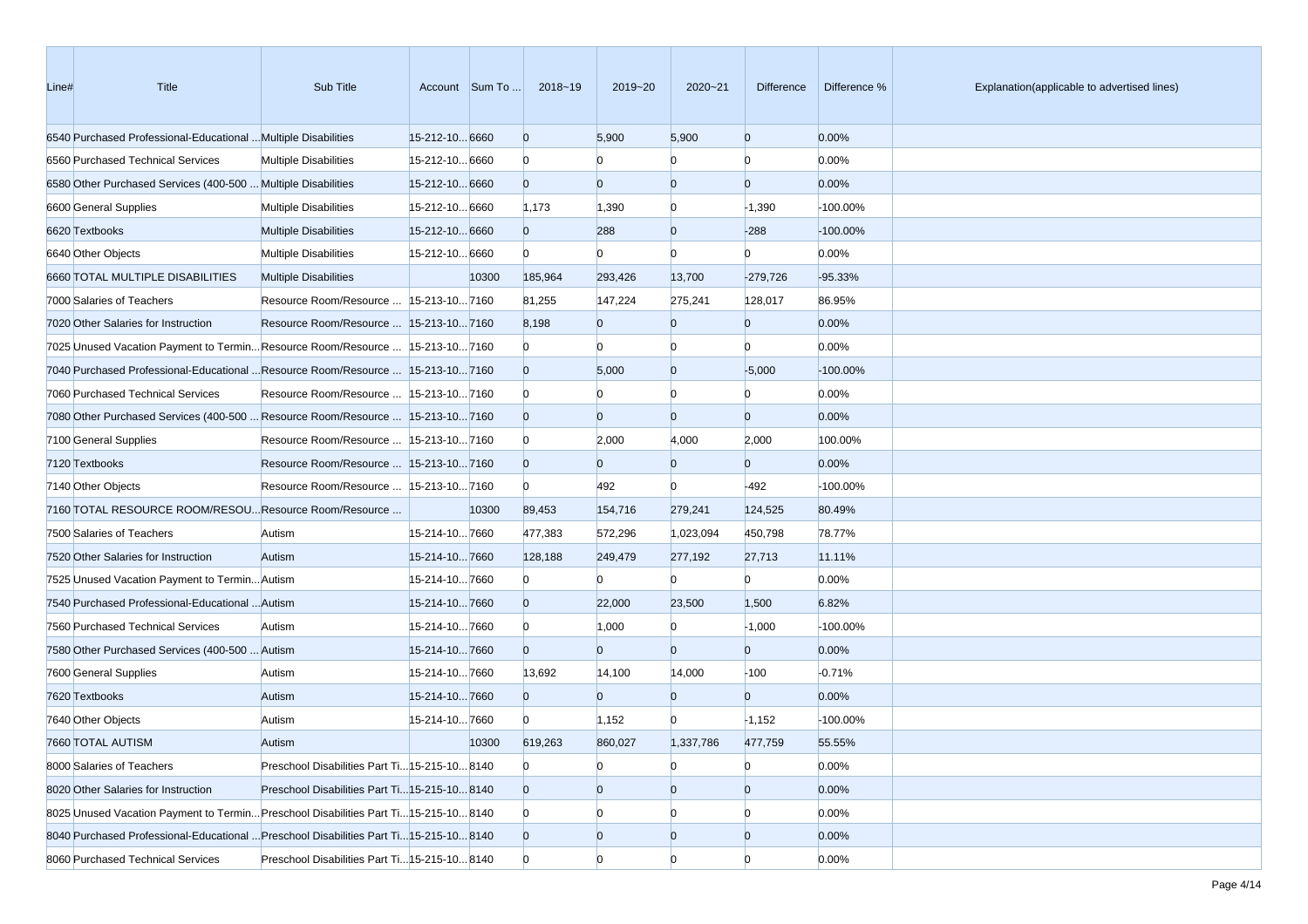| Line# | Title                                                                                 | Sub Title                                     |                | Account Sum To | 2018~19        | 2019~20        | 2020~21        | <b>Difference</b> | Difference % | Explanation(applicable to advertised lines) |
|-------|---------------------------------------------------------------------------------------|-----------------------------------------------|----------------|----------------|----------------|----------------|----------------|-------------------|--------------|---------------------------------------------|
|       | 6540 Purchased Professional-Educational  Multiple Disabilities                        |                                               | 15-212-10 6660 |                | $\overline{0}$ | 5,900          | 5,900          | $\overline{0}$    | 0.00%        |                                             |
|       | 6560 Purchased Technical Services                                                     | <b>Multiple Disabilities</b>                  | 15-212-10 6660 |                | $\bf{0}$       | $\overline{0}$ | $\Omega$       | $\Omega$          | 0.00%        |                                             |
|       | 6580 Other Purchased Services (400-500  Multiple Disabilities                         |                                               | 15-212-10 6660 |                | $\overline{0}$ | $\overline{0}$ | $\overline{0}$ | $\mathbf{0}$      | 0.00%        |                                             |
|       | 6600 General Supplies                                                                 | <b>Multiple Disabilities</b>                  | 15-212-10 6660 |                | 1,173          | 1,390          | $\bf{0}$       | $-1,390$          | -100.00%     |                                             |
|       | 6620 Textbooks                                                                        | <b>Multiple Disabilities</b>                  | 15-212-10 6660 |                | $\overline{0}$ | 288            | $\overline{0}$ | $-288$            | $-100.00\%$  |                                             |
|       | 6640 Other Objects                                                                    | <b>Multiple Disabilities</b>                  | 15-212-10 6660 |                | $\Omega$       | $\mathbf{0}$   | $\Omega$       | $\overline{0}$    | 0.00%        |                                             |
|       | 6660 TOTAL MULTIPLE DISABILITIES                                                      | <b>Multiple Disabilities</b>                  |                | 10300          | 185,964        | 293,426        | 13,700         | $-279,726$        | $-95.33%$    |                                             |
|       | 7000 Salaries of Teachers                                                             | Resource Room/Resource   15-213-10 7160       |                |                | 81,255         | 147,224        | 275,241        | 128,017           | 86.95%       |                                             |
|       | 7020 Other Salaries for Instruction                                                   | Resource Room/Resource    15-213-10 7160      |                |                | 8,198          | $\overline{0}$ | $\Omega$       | $\mathbf{0}$      | 0.00%        |                                             |
|       | 7025 Unused Vacation Payment to TerminResource Room/Resource   15-213-10 7160         |                                               |                |                | $\bf{0}$       | $\Omega$       | $\Omega$       | $\Omega$          | 0.00%        |                                             |
|       | 7040 Purchased Professional-Educational  Resource Room/Resource   15-213-10  7160     |                                               |                |                | $\overline{0}$ | 5,000          | $\overline{0}$ | $-5,000$          | $-100.00%$   |                                             |
|       | 7060 Purchased Technical Services                                                     | Resource Room/Resource   15-213-10 7160       |                |                | $\Omega$       | $\overline{0}$ | $\Omega$       | $\Omega$          | 0.00%        |                                             |
|       | 7080 Other Purchased Services (400-500  Resource Room/Resource   15-213-10 7160       |                                               |                |                | $\overline{0}$ | $\Omega$       | $\Omega$       | $\overline{0}$    | 0.00%        |                                             |
|       | 7100 General Supplies                                                                 | Resource Room/Resource   15-213-10 7160       |                |                | $\bf{0}$       | 2,000          | 4,000          | 2,000             | 100.00%      |                                             |
|       | 7120 Textbooks                                                                        | Resource Room/Resource  15-213-10 7160        |                |                | $\overline{0}$ | $\overline{0}$ | $\Omega$       | $\overline{0}$    | 0.00%        |                                             |
|       | 7140 Other Objects                                                                    | Resource Room/Resource   15-213-10 7160       |                |                | $\Omega$       | 492            | $\Omega$       | $-492$            | -100.00%     |                                             |
|       | 7160 TOTAL RESOURCE ROOM/RESOU Resource Room/Resource                                 |                                               |                | 10300          | 89,453         | 154,716        | 279,241        | 124,525           | 80.49%       |                                             |
|       | 7500 Salaries of Teachers                                                             | Autism                                        | 15-214-107660  |                | 477,383        | 572,296        | 1,023,094      | 450,798           | 78.77%       |                                             |
|       | 7520 Other Salaries for Instruction                                                   | Autism                                        | 15-214-107660  |                | 128,188        | 249,479        | 277,192        | 27,713            | 11.11%       |                                             |
|       | 7525 Unused Vacation Payment to Termin Autism                                         |                                               | 15-214-107660  |                | $\bf{0}$       | $\Omega$       | $\Omega$       | $\Omega$          | 0.00%        |                                             |
|       | 7540 Purchased Professional-Educational  Autism                                       |                                               | 15-214-107660  |                | $\overline{0}$ | 22,000         | 23,500         | 1,500             | 6.82%        |                                             |
|       | 7560 Purchased Technical Services                                                     | Autism                                        | 15-214-107660  |                | $\bf{0}$       | 1,000          | $\Omega$       | $-1,000$          | $-100.00%$   |                                             |
|       | 7580 Other Purchased Services (400-500  Autism                                        |                                               | 15-214-107660  |                | $\overline{0}$ | $\overline{0}$ | $\overline{0}$ | $\overline{0}$    | 0.00%        |                                             |
|       | 7600 General Supplies                                                                 | Autism                                        | 15-214-107660  |                | 13,692         | 14,100         | 14,000         | $-100$            | $-0.71%$     |                                             |
|       | 7620 Textbooks                                                                        | Autism                                        | 15-214-107660  |                | $\overline{0}$ | $\Omega$       | $\overline{0}$ | $\overline{0}$    | 0.00%        |                                             |
|       | 7640 Other Objects                                                                    | Autism                                        | 15-214-107660  |                | $\Omega$       | 1,152          | $\Omega$       | $-1,152$          | -100.00%     |                                             |
|       | 7660 TOTAL AUTISM                                                                     | Autism                                        |                | 10300          | 619,263        | 860,027        | 1,337,786      | 477,759           | 55.55%       |                                             |
|       | 8000 Salaries of Teachers                                                             | Preschool Disabilities Part Ti 15-215-10 8140 |                |                | $\mathbf{0}$   | $\overline{0}$ | $\bf{0}$       | $\overline{0}$    | 0.00%        |                                             |
|       | 8020 Other Salaries for Instruction                                                   | Preschool Disabilities Part Ti 15-215-10 8140 |                |                | $\mathbf{0}$   | $\overline{0}$ | $\overline{0}$ | $\overline{0}$    | 0.00%        |                                             |
|       | 8025 Unused Vacation Payment to Termin Preschool Disabilities Part Ti 15-215-10 8140  |                                               |                |                | $\bf{0}$       | $\bf{0}$       | $\Omega$       | n                 | 0.00%        |                                             |
|       | 8040 Purchased Professional-Educational  Preschool Disabilities Part Ti15-215-10 8140 |                                               |                |                | $\mathbf{0}$   | $\mathbf{0}$   | $\mathbf{0}$   | $\overline{0}$    | 0.00%        |                                             |
|       | 8060 Purchased Technical Services                                                     | Preschool Disabilities Part Ti 15-215-10 8140 |                |                | $\mathbf{0}$   | $\overline{0}$ | $\overline{0}$ | $\overline{0}$    | 0.00%        |                                             |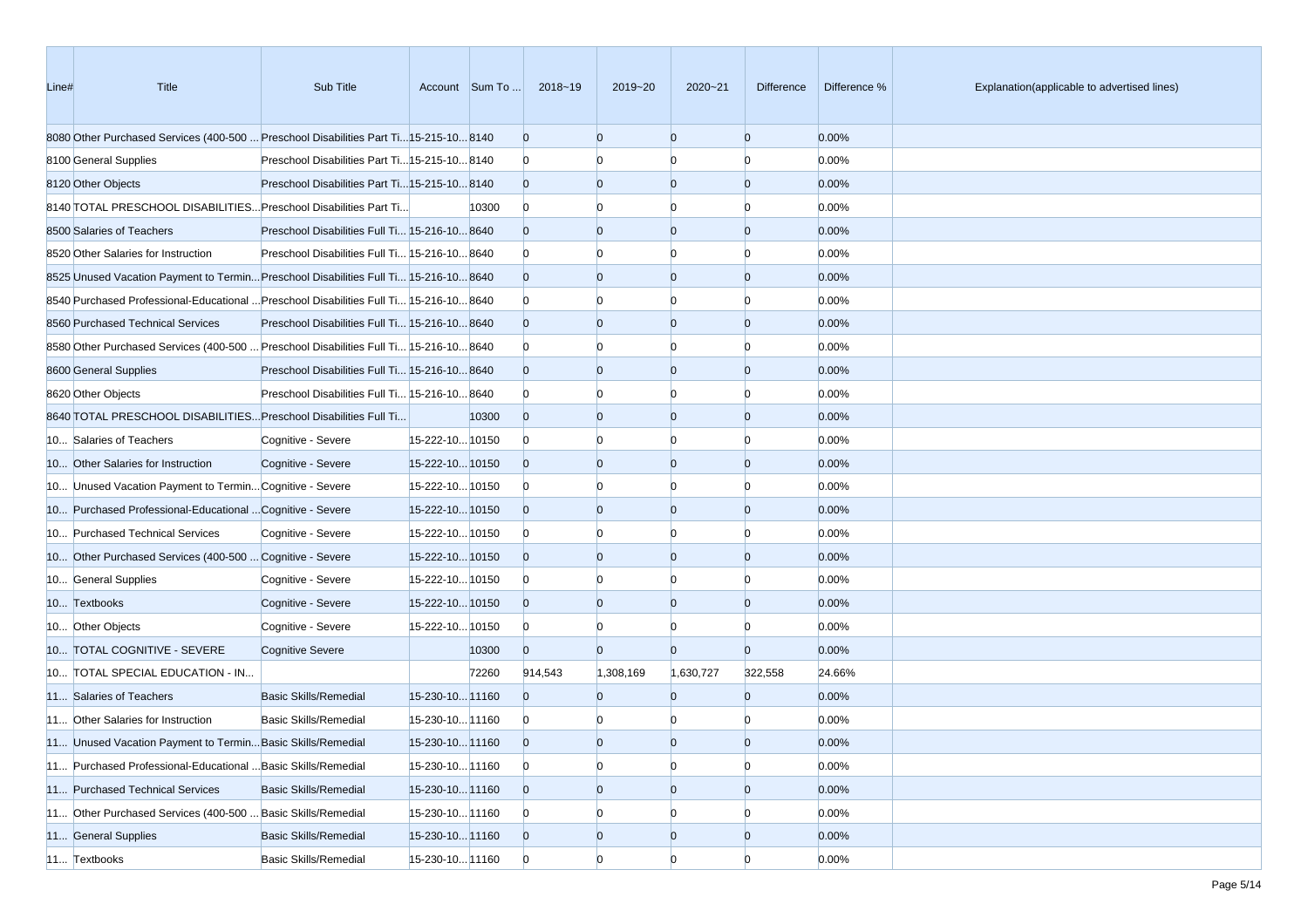| Line# | Title                                                                                  | Sub Title                                     |                 | Account Sum To | 2018~19        | 2019~20        | 2020~21        | Difference     | Difference % | Explanation(applicable to advertised lines) |
|-------|----------------------------------------------------------------------------------------|-----------------------------------------------|-----------------|----------------|----------------|----------------|----------------|----------------|--------------|---------------------------------------------|
|       | 8080 Other Purchased Services (400-500  Preschool Disabilities Part Ti15-215-10 8140   |                                               |                 |                | $\mathbf{0}$   | $\overline{0}$ | $\overline{0}$ | $\overline{0}$ | 0.00%        |                                             |
|       | 8100 General Supplies                                                                  | Preschool Disabilities Part Ti 15-215-10 8140 |                 |                | $\mathbf{0}$   | n              |                | n              | 0.00%        |                                             |
|       | 8120 Other Objects                                                                     | Preschool Disabilities Part Ti 15-215-10 8140 |                 |                | $\overline{0}$ | $\overline{0}$ | $\overline{0}$ | $\mathbf{0}$   | 0.00%        |                                             |
|       | 8140 TOTAL PRESCHOOL DISABILITIES Preschool Disabilities Part Ti                       |                                               |                 | 10300          | $\mathbf{0}$   | $\Omega$       | n              | n              | 0.00%        |                                             |
|       | 8500 Salaries of Teachers                                                              | Preschool Disabilities Full Ti 15-216-10 8640 |                 |                | $\mathbf{0}$   | $\overline{0}$ | $\overline{0}$ | $\mathbf{0}$   | 0.00%        |                                             |
|       | 8520 Other Salaries for Instruction                                                    | Preschool Disabilities Full Ti 15-216-10 8640 |                 |                | $\mathbf{0}$   | $\Omega$       | $\Omega$       | $\Omega$       | 0.00%        |                                             |
|       | 8525 Unused Vacation Payment to Termin Preschool Disabilities Full Ti 15-216-10 8640   |                                               |                 |                | $\overline{0}$ | $\overline{0}$ | $\overline{0}$ | $\overline{0}$ | 0.00%        |                                             |
|       | 8640 Purchased Professional-Educational  Preschool Disabilities Full Ti 15-216-10 8640 |                                               |                 |                | $\bf{0}$       | n              | n              | n              | 0.00%        |                                             |
|       | 8560 Purchased Technical Services                                                      | Preschool Disabilities Full Ti 15-216-10 8640 |                 |                | $\overline{0}$ | $\overline{0}$ | $\overline{0}$ | $\overline{0}$ | 0.00%        |                                             |
|       | 8680 Other Purchased Services (400-500  Preschool Disabilities Full Ti 15-216-10 8640  |                                               |                 |                | $\mathbf{0}$   | n              |                | n              | 0.00%        |                                             |
|       | 8600 General Supplies                                                                  | Preschool Disabilities Full Ti 15-216-10 8640 |                 |                | $\overline{0}$ | $\overline{0}$ | $\overline{0}$ | $\overline{0}$ | 0.00%        |                                             |
|       | 8620 Other Objects                                                                     | Preschool Disabilities Full Ti 15-216-10 8640 |                 |                | $\bf{0}$       | $\Omega$       | n              | n              | 0.00%        |                                             |
|       | 8640 TOTAL PRESCHOOL DISABILITIES Preschool Disabilities Full Ti                       |                                               |                 | 10300          | $\mathbf{0}$   | $\overline{0}$ | $\overline{0}$ | $\mathbf{0}$   | 0.00%        |                                             |
|       | 10 Salaries of Teachers                                                                | Cognitive - Severe                            | 15-222-10 10150 |                | $\bf{0}$       | $\Omega$       | $\Omega$       | n              | 0.00%        |                                             |
|       | 10 Other Salaries for Instruction                                                      | Cognitive - Severe                            | 15-222-1010150  |                | $\overline{0}$ | $\overline{0}$ | $\overline{0}$ | $\overline{0}$ | 0.00%        |                                             |
|       | 10 Unused Vacation Payment to Termin Cognitive - Severe                                |                                               | 15-222-10 10150 |                | $\bf{0}$       | n              | n              | n              | 0.00%        |                                             |
|       | 10 Purchased Professional-Educational  Cognitive - Severe                              |                                               | 15-222-10 10150 |                | $\overline{0}$ | $\overline{0}$ | $\overline{0}$ | $\overline{0}$ | 0.00%        |                                             |
|       | 10 Purchased Technical Services                                                        | Cognitive - Severe                            | 15-222-10 10150 |                | $\bf{0}$       | n              |                | n              | 0.00%        |                                             |
|       | 10 Other Purchased Services (400-500  Cognitive - Severe                               |                                               | 15-222-10 10150 |                | $\overline{0}$ | $\overline{0}$ | $\overline{0}$ | $\overline{0}$ | 0.00%        |                                             |
|       | 10 General Supplies                                                                    | Cognitive - Severe                            | 15-222-10 10150 |                | $\bf{0}$       | $\Omega$       | n              | $\Omega$       | 0.00%        |                                             |
|       | 10 Textbooks                                                                           | Cognitive - Severe                            | 15-222-10 10150 |                | $\overline{0}$ | $\overline{0}$ | $\overline{0}$ | $\overline{0}$ | 0.00%        |                                             |
|       | 10 Other Objects                                                                       | Cognitive - Severe                            | 15-222-10 10150 |                | $\bf{0}$       | $\Omega$       | n              | $\Omega$       | 0.00%        |                                             |
|       | 10 TOTAL COGNITIVE - SEVERE                                                            | <b>Cognitive Severe</b>                       |                 | 10300          | $\overline{0}$ | $\overline{0}$ | $\Omega$       | $\overline{0}$ | 0.00%        |                                             |
|       | 10 TOTAL SPECIAL EDUCATION - IN                                                        |                                               |                 | 72260          | 914,543        | 1,308,169      | 1,630,727      | 322,558        | 24.66%       |                                             |
|       | 11 Salaries of Teachers                                                                | <b>Basic Skills/Remedial</b>                  | 15-230-10 11160 |                | $\Omega$       | $\Omega$       | $\Omega$       | $\overline{0}$ | 0.00%        |                                             |
|       | 11 Other Salaries for Instruction                                                      | <b>Basic Skills/Remedial</b>                  | 15-230-10 11160 |                | $\bf{0}$       | n              |                | n              | 0.00%        |                                             |
|       | 11 Unused Vacation Payment to Termin Basic Skills/Remedial                             |                                               | 15-230-10 11160 |                | $\overline{0}$ | $\Omega$       | $\Omega$       | $\Omega$       | 0.00%        |                                             |
|       | 11 Purchased Professional-Educational  Basic Skills/Remedial                           |                                               | 15-230-10 11160 |                | $\overline{0}$ | $\overline{0}$ | $\overline{0}$ | $\overline{0}$ | 0.00%        |                                             |
|       | 11 Purchased Technical Services                                                        | <b>Basic Skills/Remedial</b>                  | 15-230-10 11160 |                | $\mathbf{0}$   | $\mathbf{0}$   | $\overline{0}$ | $\overline{0}$ | 0.00%        |                                             |
|       | 11 Other Purchased Services (400-500  Basic Skills/Remedial                            |                                               | 15-230-10 11160 |                | $\mathbf{0}$   | $\overline{0}$ |                | $\Omega$       | 0.00%        |                                             |
|       | 11 General Supplies                                                                    | <b>Basic Skills/Remedial</b>                  | 15-230-10 11160 |                | $\mathbf{0}$   | $\mathbf{0}$   | $\mathbf{0}$   | $\overline{0}$ | 0.00%        |                                             |
|       | 11 Textbooks                                                                           | <b>Basic Skills/Remedial</b>                  | 15-230-10 11160 |                | $\overline{0}$ | $\overline{0}$ | $\Omega$       | $\Omega$       | 0.00%        |                                             |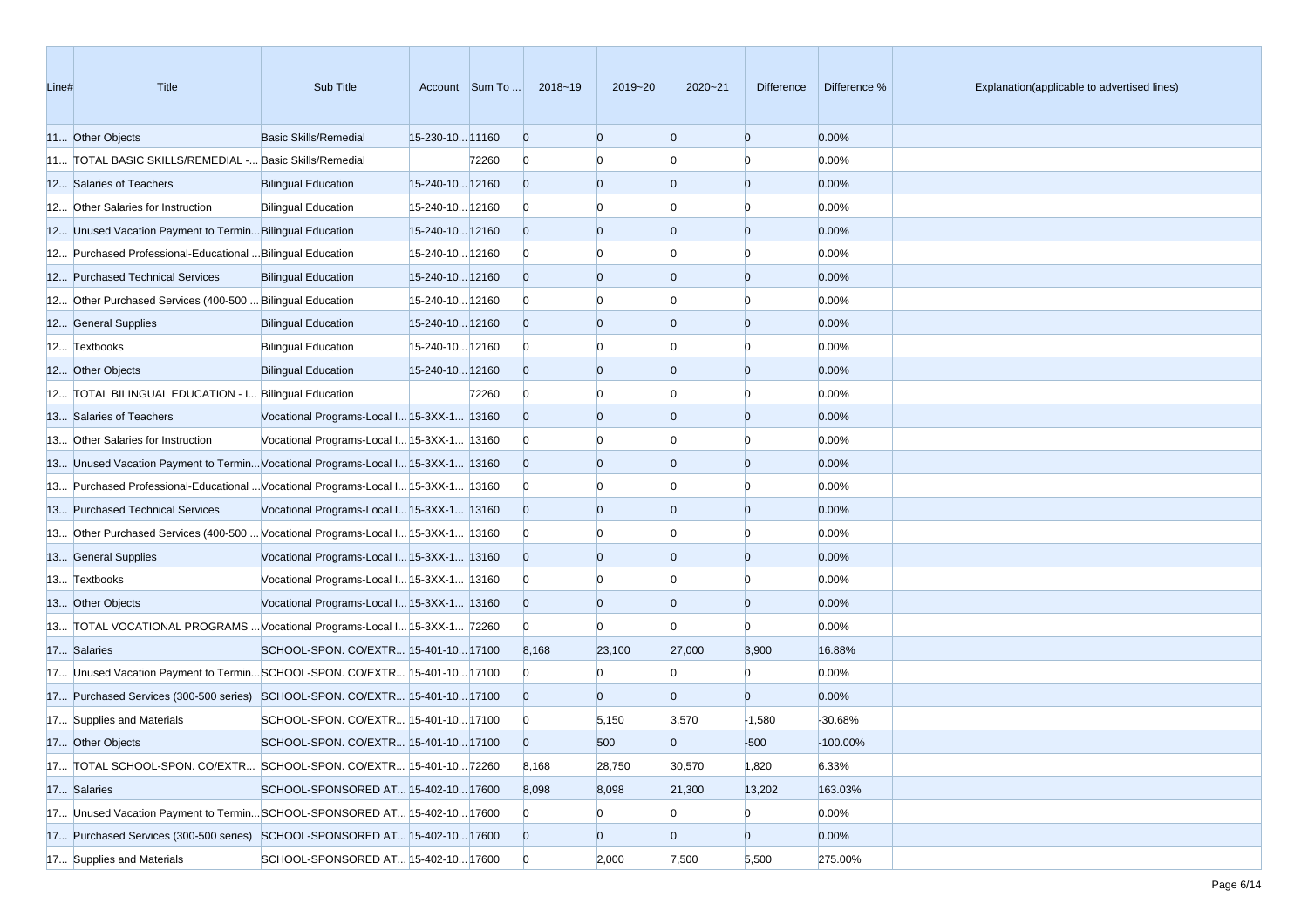| Line# | <b>Title</b>                                                                      | Sub Title                                  |                 | Account Sum To | 2018~19        | 2019~20      | 2020~21        | <b>Difference</b> | Difference % | Explanation(applicable to advertised lines) |
|-------|-----------------------------------------------------------------------------------|--------------------------------------------|-----------------|----------------|----------------|--------------|----------------|-------------------|--------------|---------------------------------------------|
|       | 11 Other Objects                                                                  | <b>Basic Skills/Remedial</b>               | 15-230-10 11160 |                | $\overline{0}$ | $\Omega$     | $\overline{0}$ | $\overline{0}$    | 0.00%        |                                             |
|       | 11 TOTAL BASIC SKILLS/REMEDIAL - Basic Skills/Remedial                            |                                            |                 | 72260          | $\overline{0}$ |              | $\Omega$       | $\Omega$          | 0.00%        |                                             |
|       | 12 Salaries of Teachers                                                           | <b>Bilingual Education</b>                 | 15-240-10 12160 |                | $\overline{0}$ | $\Omega$     | $\overline{0}$ | $\overline{0}$    | 0.00%        |                                             |
|       | 12 Other Salaries for Instruction                                                 | <b>Bilingual Education</b>                 | 15-240-10 12160 |                | $\overline{0}$ |              |                |                   | 0.00%        |                                             |
|       | 12 Unused Vacation Payment to Termin Bilingual Education                          |                                            | 15-240-10 12160 |                | $\overline{0}$ | $\Omega$     | $\overline{0}$ | $\overline{0}$    | 0.00%        |                                             |
|       | 12 Purchased Professional-Educational  Bilingual Education                        |                                            | 15-240-10 12160 |                | $\overline{0}$ |              | $\Omega$       | $\Omega$          | 0.00%        |                                             |
|       | 12 Purchased Technical Services                                                   | <b>Bilingual Education</b>                 | 15-240-10 12160 |                | $\overline{0}$ | $\Omega$     | $\overline{0}$ | $\overline{0}$    | 0.00%        |                                             |
|       | 12 Other Purchased Services (400-500  Bilingual Education                         |                                            | 15-240-10 12160 |                | $\overline{0}$ |              | $\Omega$       | $\Omega$          | 0.00%        |                                             |
|       | 12 General Supplies                                                               | <b>Bilingual Education</b>                 | 15-240-10 12160 |                | $\overline{0}$ | $\Omega$     | $\overline{0}$ | $\overline{0}$    | 0.00%        |                                             |
|       | 12 Textbooks                                                                      | <b>Bilingual Education</b>                 | 15-240-10 12160 |                | $\overline{0}$ |              | n              | $\Omega$          | 0.00%        |                                             |
|       | 12 Other Objects                                                                  | <b>Bilingual Education</b>                 | 15-240-10 12160 |                | $\overline{0}$ | $\Omega$     | $\overline{0}$ | $\overline{0}$    | 0.00%        |                                             |
|       | 12 TOTAL BILINGUAL EDUCATION - I Bilingual Education                              |                                            |                 | 72260          | $\overline{0}$ |              | n              | $\Omega$          | 0.00%        |                                             |
|       | 13 Salaries of Teachers                                                           | Vocational Programs-Local I 15-3XX-1 13160 |                 |                | $\overline{0}$ | $\Omega$     | $\overline{0}$ | $\overline{0}$    | 0.00%        |                                             |
|       | 13 Other Salaries for Instruction                                                 | Vocational Programs-Local I 15-3XX-1 13160 |                 |                | $\overline{0}$ |              | $\Omega$       | $\Omega$          | 0.00%        |                                             |
|       | 13 Unused Vacation Payment to TerminVocational Programs-Local I 15-3XX-1 13160    |                                            |                 |                | $\overline{0}$ | $\Omega$     | $\overline{0}$ | $\overline{0}$    | 0.00%        |                                             |
|       | 13 Purchased Professional-Educational  Vocational Programs-Local I 15-3XX-1 13160 |                                            |                 |                | $\overline{0}$ |              |                | n                 | 0.00%        |                                             |
|       | 13 Purchased Technical Services                                                   | Vocational Programs-Local I 15-3XX-1 13160 |                 |                | $\overline{0}$ | $\Omega$     | $\overline{0}$ | $\overline{0}$    | 0.00%        |                                             |
|       | 13 Other Purchased Services (400-500  Vocational Programs-Local I 15-3XX-1 13160  |                                            |                 |                | $\overline{0}$ |              | $\Omega$       | $\Omega$          | 0.00%        |                                             |
|       | 13 General Supplies                                                               | Vocational Programs-Local I 15-3XX-1 13160 |                 |                | $\overline{0}$ | $\Omega$     | $\overline{0}$ | $\overline{0}$    | 0.00%        |                                             |
|       | 13 Textbooks                                                                      | Vocational Programs-Local I 15-3XX-1 13160 |                 |                | $\overline{0}$ |              | $\Omega$       | $\Omega$          | 0.00%        |                                             |
|       | 13 Other Objects                                                                  | Vocational Programs-Local I 15-3XX-1 13160 |                 |                | $\overline{0}$ | $\Omega$     | $\overline{0}$ | $\overline{0}$    | 0.00%        |                                             |
|       | 13 TOTAL VOCATIONAL PROGRAMS  Vocational Programs-Local I 15-3XX-1 72260          |                                            |                 |                | $\overline{0}$ | $\Omega$     | $\Omega$       | n                 | 0.00%        |                                             |
|       | 17 Salaries                                                                       | SCHOOL-SPON. CO/EXTR 15-401-10 17100       |                 |                | 8,168          | 23,100       | 27,000         | 3,900             | 16.88%       |                                             |
|       | 17 Unused Vacation Payment to TerminSCHOOL-SPON. CO/EXTR 15-401-10 17100          |                                            |                 |                | $\overline{0}$ | n            | $\Omega$       | $\Omega$          | 0.00%        |                                             |
|       | 17 Purchased Services (300-500 series) SCHOOL-SPON. CO/EXTR 15-401-10 17100       |                                            |                 |                | $\overline{0}$ | $\Omega$     | $\overline{0}$ | $\overline{0}$    | 0.00%        |                                             |
|       | 17 Supplies and Materials                                                         | SCHOOL-SPON. CO/EXTR 15-401-1017100        |                 |                | $\bf{0}$       | 5,150        | 3,570          | $-1,580$          | -30.68%      |                                             |
|       | 17 Other Objects                                                                  | SCHOOL-SPON. CO/EXTR 15-401-10 17100       |                 |                | $\Omega$       | 500          | $\Omega$       | $-500$            | $-100.00\%$  |                                             |
|       | 17 TOTAL SCHOOL-SPON. CO/EXTR SCHOOL-SPON. CO/EXTR 15-401-10 72260                |                                            |                 |                | 8,168          | 28,750       | 30,570         | 1,820             | 6.33%        |                                             |
|       | 17 Salaries                                                                       | SCHOOL-SPONSORED AT 15-402-10 17600        |                 |                | 8,098          | 8,098        | 21,300         | 13,202            | 163.03%      |                                             |
|       | 17 Unused Vacation Payment to TerminSCHOOL-SPONSORED AT 15-402-10 17600           |                                            |                 |                | $\overline{0}$ | $\bf{0}$     | $\bf{0}$       | $\overline{0}$    | 0.00%        |                                             |
|       | 17 Purchased Services (300-500 series) SCHOOL-SPONSORED AT 15-402-10 17600        |                                            |                 |                | $\overline{0}$ | $\mathbf{0}$ | $\overline{0}$ | $\overline{0}$    | 0.00%        |                                             |
|       | 17 Supplies and Materials                                                         | SCHOOL-SPONSORED AT 15-402-10 17600        |                 |                | $\overline{0}$ | 2,000        | 7,500          | 5,500             | 275.00%      |                                             |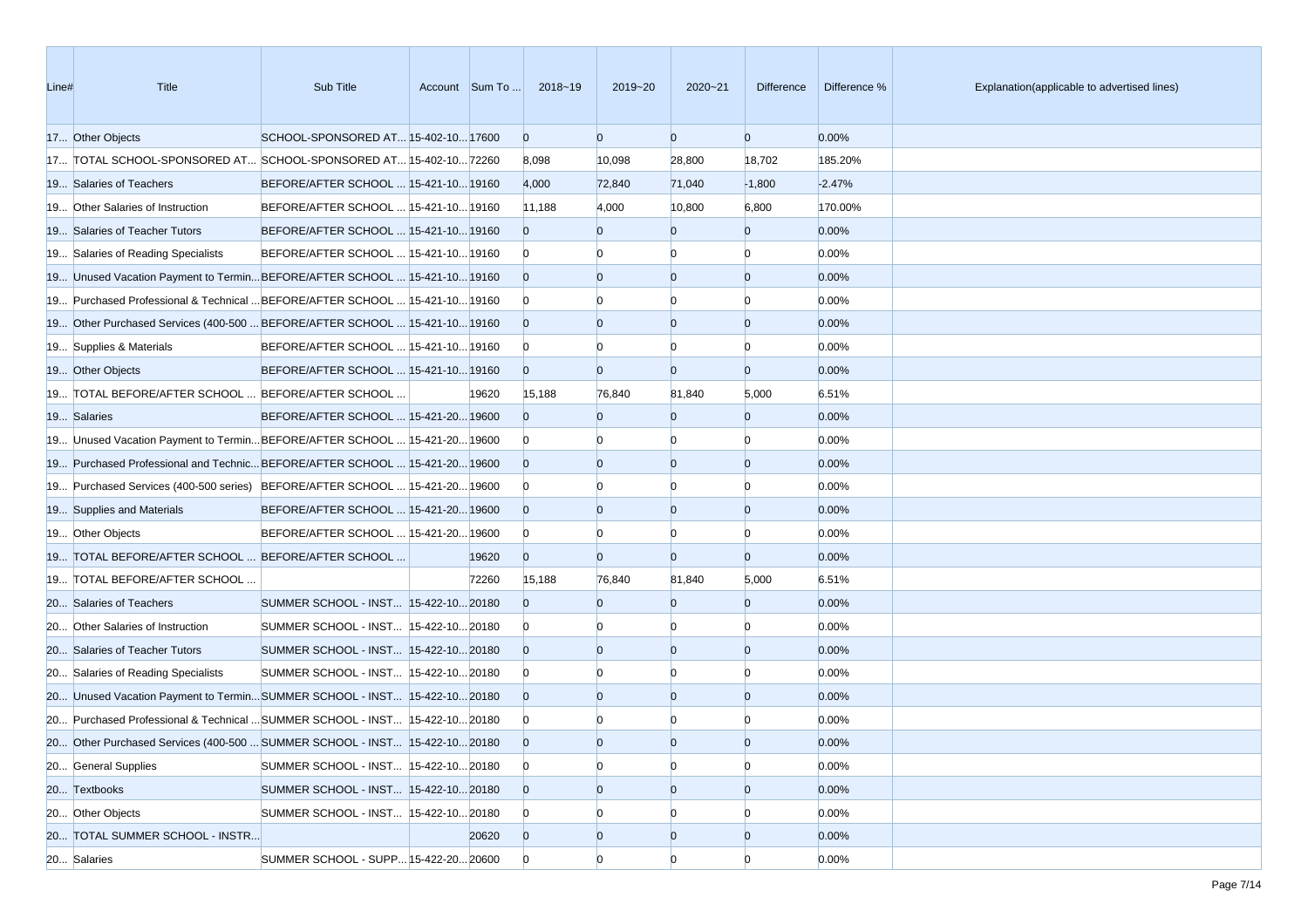| Line# | <b>Title</b>                                                                     | Sub Title                            | Account Sum To | 2018~19        | 2019~20        | $2020 - 21$    | <b>Difference</b> | Difference % | Explanation(applicable to advertised lines) |
|-------|----------------------------------------------------------------------------------|--------------------------------------|----------------|----------------|----------------|----------------|-------------------|--------------|---------------------------------------------|
|       | 17 Other Objects                                                                 | SCHOOL-SPONSORED AT 15-402-10 17600  |                | $\overline{0}$ | $\overline{0}$ | $\overline{0}$ | $\overline{0}$    | 0.00%        |                                             |
|       | 17 TOTAL SCHOOL-SPONSORED AT SCHOOL-SPONSORED AT 15-402-10 72260                 |                                      |                | 8,098          | 10,098         | 28,800         | 18,702            | 185.20%      |                                             |
|       | 19 Salaries of Teachers                                                          | BEFORE/AFTER SCHOOL  15-421-10 19160 |                | 4,000          | 72,840         | 71,040         | $-1,800$          | $-2.47%$     |                                             |
|       | 19 Other Salaries of Instruction                                                 | BEFORE/AFTER SCHOOL  15-421-10 19160 |                | 11,188         | 4,000          | 10,800         | 6,800             | 170.00%      |                                             |
|       | 19 Salaries of Teacher Tutors                                                    | BEFORE/AFTER SCHOOL  15-421-10 19160 |                | $\Omega$       | $\Omega$       | $\Omega$       | $\overline{0}$    | 0.00%        |                                             |
|       | 19 Salaries of Reading Specialists                                               | BEFORE/AFTER SCHOOL  15-421-10 19160 |                | $\overline{0}$ | $\Omega$       | $\Omega$       | $\Omega$          | 0.00%        |                                             |
|       | 19 Unused Vacation Payment to TerminBEFORE/AFTER SCHOOL  15-421-10 19160         |                                      |                | $\overline{0}$ | $\Omega$       | $\overline{0}$ | $\overline{0}$    | 0.00%        |                                             |
|       | 19 Purchased Professional & Technical  BEFORE/AFTER SCHOOL  15-421-10 19160      |                                      |                | $\overline{0}$ |                | $\Omega$       | $\Omega$          | 0.00%        |                                             |
|       | 19 Other Purchased Services (400-500  BEFORE/AFTER SCHOOL  15-421-10 19160       |                                      |                | $\overline{0}$ | $\Omega$       | $\overline{0}$ | $\overline{0}$    | 0.00%        |                                             |
|       | 19 Supplies & Materials                                                          | BEFORE/AFTER SCHOOL  15-421-10 19160 |                | $\overline{0}$ |                | n              | $\Omega$          | 0.00%        |                                             |
|       | 19 Other Objects                                                                 | BEFORE/AFTER SCHOOL  15-421-10 19160 |                | $\overline{0}$ | $\Omega$       | $\overline{0}$ | $\overline{0}$    | 0.00%        |                                             |
|       | 19 TOTAL BEFORE/AFTER SCHOOL  BEFORE/AFTER SCHOOL                                |                                      | 19620          | 15,188         | 76,840         | 81,840         | 5,000             | 6.51%        |                                             |
|       | 19 Salaries                                                                      | BEFORE/AFTER SCHOOL  15-421-20 19600 |                | $\Omega$       | $\Omega$       | $\Omega$       | $\overline{0}$    | 0.00%        |                                             |
|       | 19 Unused Vacation Payment to Termin BEFORE/AFTER SCHOOL  15-421-20 19600        |                                      |                | $\overline{0}$ | $\Omega$       | $\Omega$       | $\Omega$          | 0.00%        |                                             |
|       | 19600 19 Purchased Professional and Technic BEFORE/AFTER SCHOOL  15-421-20 19600 |                                      |                | $\overline{0}$ | $\Omega$       | $\overline{0}$ | $\overline{0}$    | 0.00%        |                                             |
|       | 19 Purchased Services (400-500 series) BEFORE/AFTER SCHOOL  15-421-20 19600      |                                      |                | $\overline{0}$ |                |                | n                 | 0.00%        |                                             |
|       | 19 Supplies and Materials                                                        | BEFORE/AFTER SCHOOL  15-421-20 19600 |                | $\overline{0}$ | $\Omega$       | $\overline{0}$ | $\overline{0}$    | 0.00%        |                                             |
|       | 19 Other Objects                                                                 | BEFORE/AFTER SCHOOL  15-421-20 19600 |                | $\overline{0}$ |                | $\Omega$       | $\Omega$          | 0.00%        |                                             |
|       | 19 TOTAL BEFORE/AFTER SCHOOL  BEFORE/AFTER SCHOOL                                |                                      | 19620          | $\overline{0}$ | $\Omega$       | $\overline{0}$ | $\overline{0}$    | 0.00%        |                                             |
|       | 19 TOTAL BEFORE/AFTER SCHOOL                                                     |                                      | 72260          | 15,188         | 76,840         | 81,840         | 5,000             | 6.51%        |                                             |
|       | 20 Salaries of Teachers                                                          | SUMMER SCHOOL - INST 15-422-10 20180 |                | $\Omega$       | $\Omega$       | $\Omega$       | $\overline{0}$    | 0.00%        |                                             |
|       | 20 Other Salaries of Instruction                                                 | SUMMER SCHOOL - INST 15-422-10 20180 |                | $\overline{0}$ |                | n              | $\Omega$          | 0.00%        |                                             |
|       | 20 Salaries of Teacher Tutors                                                    | SUMMER SCHOOL - INST 15-422-10 20180 |                | $\overline{0}$ | $\Omega$       | $\Omega$       | $\overline{0}$    | 0.00%        |                                             |
|       | 20 Salaries of Reading Specialists                                               | SUMMER SCHOOL - INST 15-422-10 20180 |                | $\overline{0}$ |                | $\Omega$       | $\Omega$          | 0.00%        |                                             |
|       | 20 Unused Vacation Payment to TerminSUMMER SCHOOL - INST 15-422-1020180          |                                      |                | $\overline{0}$ | $\Omega$       | $\overline{0}$ | $\overline{0}$    | 0.00%        |                                             |
|       | 20 Purchased Professional & Technical  SUMMER SCHOOL - INST 15-422-10 20180      |                                      |                | $\overline{0}$ |                |                |                   | 0.00%        |                                             |
|       | 20 Other Purchased Services (400-500  SUMMER SCHOOL - INST 15-422-10 20180       |                                      |                | $\overline{0}$ | $\Omega$       | $\Omega$       | $\Omega$          | 0.00%        |                                             |
|       | 20 General Supplies                                                              | SUMMER SCHOOL - INST 15-422-10 20180 |                | $\overline{0}$ | $\Omega$       | $\overline{0}$ | $\overline{0}$    | 0.00%        |                                             |
|       | 20 Textbooks                                                                     | SUMMER SCHOOL - INST 15-422-10 20180 |                | $\overline{0}$ | $\overline{0}$ | $\overline{0}$ | $\overline{0}$    | 0.00%        |                                             |
|       | 20 Other Objects                                                                 | SUMMER SCHOOL - INST 15-422-10 20180 |                | $\overline{0}$ | $\Omega$       | $\Omega$       | $\Omega$          | 0.00%        |                                             |
|       | 20 TOTAL SUMMER SCHOOL - INSTR                                                   |                                      | 20620          | $\overline{0}$ | $\overline{0}$ | $\overline{0}$ | $\overline{0}$    | 0.00%        |                                             |
|       | 20 Salaries                                                                      | SUMMER SCHOOL - SUPP 15-422-20 20600 |                | $\overline{0}$ | $\Omega$       | $\Omega$       | $\Omega$          | 0.00%        |                                             |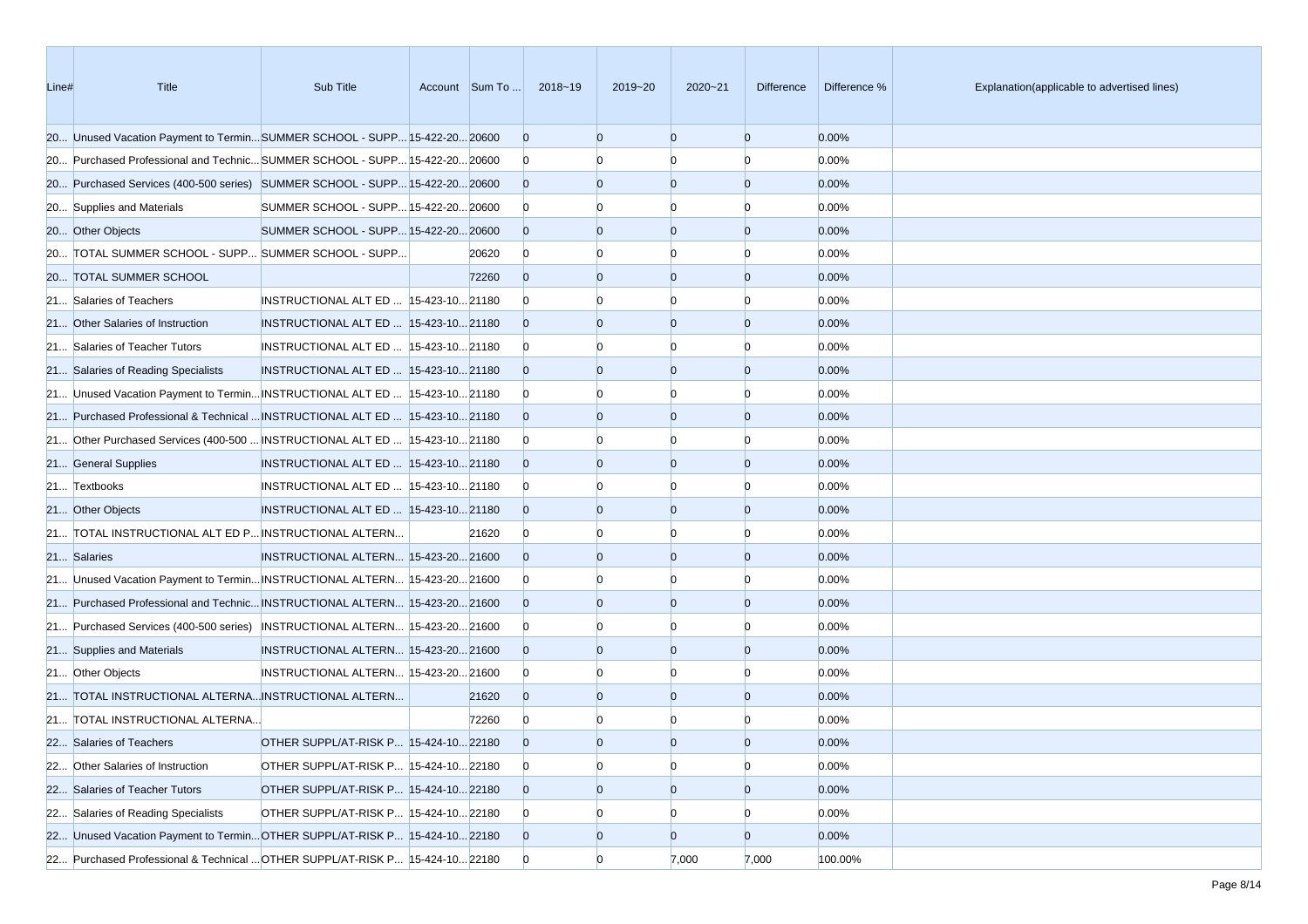| Line# | Title                                                                         | Sub Title                              | Account Sum To | 2018~19        | 2019~20        | $2020 - 21$    | <b>Difference</b> | Difference % | Explanation(applicable to advertised lines) |
|-------|-------------------------------------------------------------------------------|----------------------------------------|----------------|----------------|----------------|----------------|-------------------|--------------|---------------------------------------------|
|       | 20 Unused Vacation Payment to TerminSUMMER SCHOOL - SUPP 15-422-20 20600      |                                        |                | $\overline{0}$ | $\overline{0}$ | $\overline{0}$ | $\overline{0}$    | 0.00%        |                                             |
|       | 20 Purchased Professional and Technic SUMMER SCHOOL - SUPP 15-422-20 20600    |                                        |                | $\overline{0}$ | n              | n              | $\Omega$          | 0.00%        |                                             |
|       | 20 Purchased Services (400-500 series) SUMMER SCHOOL - SUPP 15-422-20 20600   |                                        |                | $\Omega$       | $\overline{0}$ | $\overline{0}$ | $\overline{0}$    | 0.00%        |                                             |
|       | 20 Supplies and Materials                                                     | SUMMER SCHOOL - SUPP 15-422-20 20600   |                | $\overline{0}$ |                |                | n                 | 0.00%        |                                             |
|       | 20 Other Objects                                                              | SUMMER SCHOOL - SUPP 15-422-20 20600   |                | $\Omega$       | $\Omega$       | $\Omega$       | $\overline{0}$    | 0.00%        |                                             |
|       | 20 TOTAL SUMMER SCHOOL - SUPP SUMMER SCHOOL - SUPP                            |                                        | 20620          | $\overline{0}$ | $\Omega$       | $\Omega$       | $\Omega$          | 0.00%        |                                             |
|       | 20 TOTAL SUMMER SCHOOL                                                        |                                        | 72260          | $\Omega$       | $\overline{0}$ | $\overline{0}$ | $\overline{0}$    | 0.00%        |                                             |
|       | 21 Salaries of Teachers                                                       | INSTRUCTIONAL ALT ED   15-423-10 21180 |                | $\Omega$       |                | n              | n                 | 0.00%        |                                             |
|       | 21 Other Salaries of Instruction                                              | INSTRUCTIONAL ALT ED  15-423-10 21180  |                | $\Omega$       | $\Omega$       | $\overline{0}$ | $\overline{0}$    | 0.00%        |                                             |
|       | 21 Salaries of Teacher Tutors                                                 | INSTRUCTIONAL ALT ED  15-423-10 21180  |                | $\overline{0}$ |                | n              | $\Omega$          | 0.00%        |                                             |
|       | 21 Salaries of Reading Specialists                                            | INSTRUCTIONAL ALT ED  15-423-10 21180  |                | $\Omega$       | $\Omega$       | $\Omega$       | $\overline{0}$    | 0.00%        |                                             |
|       | 21 Unused Vacation Payment to Termin INSTRUCTIONAL ALT ED  15-423-10 21180    |                                        |                | $\overline{0}$ |                | n              | n                 | 0.00%        |                                             |
|       | 21 Purchased Professional & Technical  INSTRUCTIONAL ALT ED   15-423-10 21180 |                                        |                | $\overline{0}$ | $\Omega$       | $\Omega$       | $\overline{0}$    | 0.00%        |                                             |
|       | 21 Other Purchased Services (400-500  INSTRUCTIONAL ALT ED   15-423-10 21180  |                                        |                | $\overline{0}$ | n              | n              | $\Omega$          | 0.00%        |                                             |
|       | 21 General Supplies                                                           | INSTRUCTIONAL ALT ED  15-423-10 21180  |                | $\Omega$       | $\overline{0}$ | $\Omega$       | $\overline{0}$    | 0.00%        |                                             |
|       | 21 Textbooks                                                                  | INSTRUCTIONAL ALT ED  15-423-10 21180  |                | $\overline{0}$ |                |                | n                 | 0.00%        |                                             |
|       | 21 Other Objects                                                              | INSTRUCTIONAL ALT ED  15-423-10 21180  |                | $\Omega$       | $\Omega$       | $\Omega$       | $\overline{0}$    | 0.00%        |                                             |
|       | 21 TOTAL INSTRUCTIONAL ALT ED P INSTRUCTIONAL ALTERN                          |                                        | 21620          | $\bf{0}$       | $\Omega$       | n              | $\Omega$          | 0.00%        |                                             |
|       | 21 Salaries                                                                   | INSTRUCTIONAL ALTERN 15-423-20 21600   |                | $\Omega$       | $\overline{0}$ | $\overline{0}$ | $\overline{0}$    | 0.00%        |                                             |
|       | 21 Unused Vacation Payment to Termin INSTRUCTIONAL ALTERN 15-423-20 21600     |                                        |                | $\overline{0}$ | n              | n              | 0                 | 0.00%        |                                             |
|       | 21 Purchased Professional and Technic INSTRUCTIONAL ALTERN 15-423-20 21600    |                                        |                | $\Omega$       | $\Omega$       | $\overline{0}$ | $\overline{0}$    | 0.00%        |                                             |
|       | 21 Purchased Services (400-500 series) INSTRUCTIONAL ALTERN 15-423-20 21600   |                                        |                | $\overline{0}$ |                | n              | n                 | 0.00%        |                                             |
|       | 21 Supplies and Materials                                                     | INSTRUCTIONAL ALTERN 15-423-20 21600   |                | $\Omega$       | $\overline{0}$ | $\Omega$       | $\overline{0}$    | 0.00%        |                                             |
|       | 21 Other Objects                                                              | INSTRUCTIONAL ALTERN 15-423-20 21600   |                | $\overline{0}$ | $\Omega$       | n              | n                 | 0.00%        |                                             |
|       | 21 TOTAL INSTRUCTIONAL ALTERNA INSTRUCTIONAL ALTERN                           |                                        | 21620          | $\Omega$       | $\overline{0}$ | $\overline{0}$ | $\mathbf{0}$      | 0.00%        |                                             |
|       | 21 TOTAL INSTRUCTIONAL ALTERNA                                                |                                        | 72260          | $\mathbf{0}$   |                |                | n                 | 0.00%        |                                             |
|       | 22 Salaries of Teachers                                                       | OTHER SUPPL/AT-RISK P 15-424-10 22180  |                | $\Omega$       | $\overline{0}$ | $\Omega$       | $\Omega$          | 0.00%        |                                             |
|       | 22 Other Salaries of Instruction                                              | OTHER SUPPL/AT-RISK P 15-424-10 22180  |                | $\overline{0}$ | $\overline{0}$ | $\overline{0}$ | $\overline{0}$    | 0.00%        |                                             |
|       | 22 Salaries of Teacher Tutors                                                 | OTHER SUPPL/AT-RISK P 15-424-10 22180  |                | $\overline{0}$ | $\overline{0}$ | $\overline{0}$ | $\overline{0}$    | 0.00%        |                                             |
|       | 22 Salaries of Reading Specialists                                            | OTHER SUPPL/AT-RISK P 15-424-10 22180  |                | $\overline{0}$ | $\overline{0}$ | $\Omega$       | $\Omega$          | 0.00%        |                                             |
|       | 22 Unused Vacation Payment to Termin OTHER SUPPL/AT-RISK P 15-424-10 22180    |                                        |                | $\overline{0}$ | $\overline{0}$ | $\overline{0}$ | $\overline{0}$    | 0.00%        |                                             |
|       | 22 Purchased Professional & Technical  OTHER SUPPL/AT-RISK P 15-424-10 22180  |                                        |                | $\overline{0}$ | $\overline{0}$ | 7,000          | 7,000             | 100.00%      |                                             |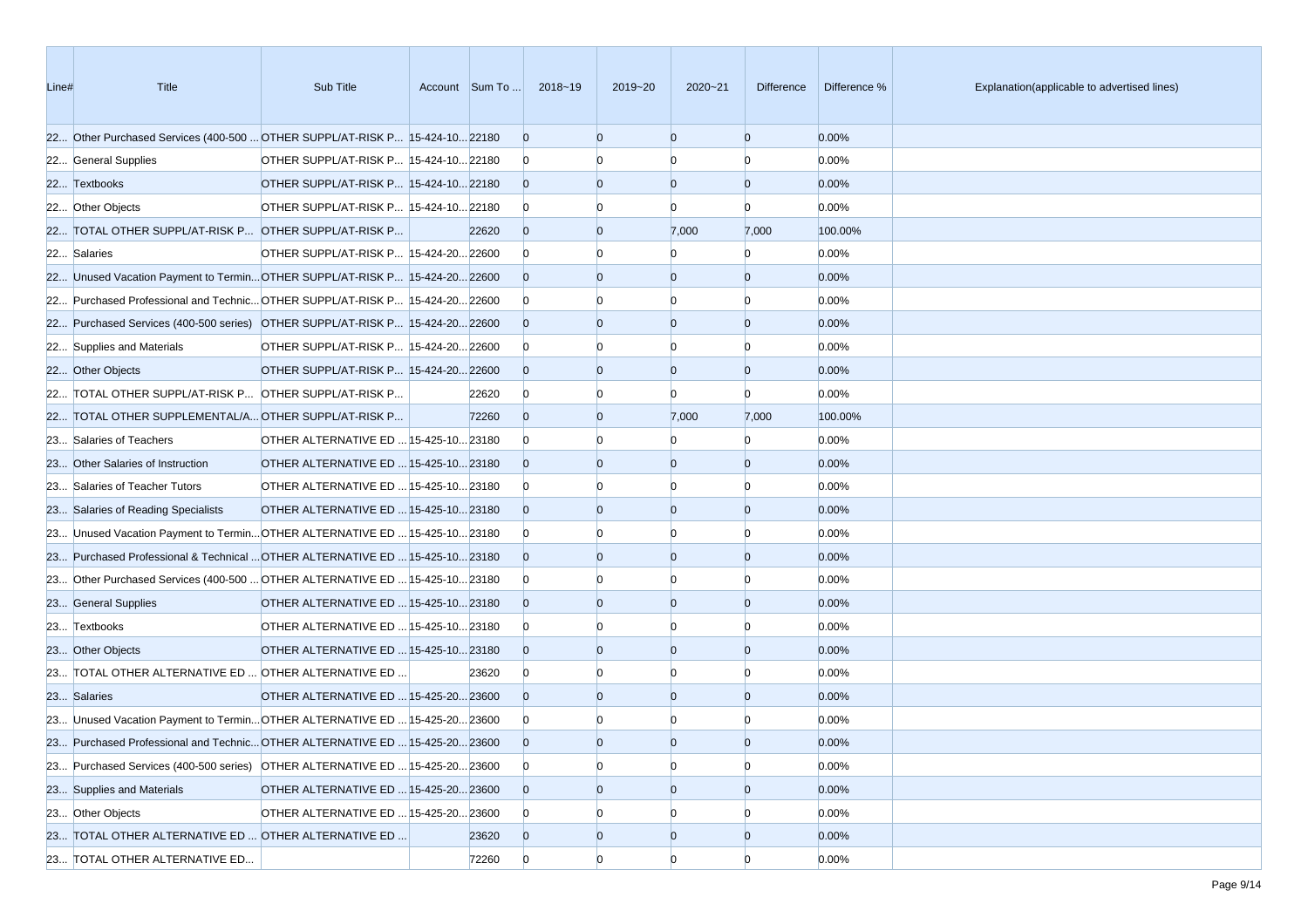| Line# | <b>Title</b>                                                                  | Sub Title                             |       | Account Sum To  2018~19 | 2019~20        | $2020 - 21$    | <b>Difference</b> | Difference % | Explanation(applicable to advertised lines) |
|-------|-------------------------------------------------------------------------------|---------------------------------------|-------|-------------------------|----------------|----------------|-------------------|--------------|---------------------------------------------|
|       | 22 Other Purchased Services (400-500  OTHER SUPPL/AT-RISK P 15-424-10 22180   |                                       |       | $\overline{0}$          | $\Omega$       | $\Omega$       | $\overline{0}$    | 0.00%        |                                             |
|       | 22 General Supplies                                                           | OTHER SUPPL/AT-RISK P 15-424-10 22180 |       | $\overline{0}$          |                | $\Omega$       | $\Omega$          | 0.00%        |                                             |
|       | 22 Textbooks                                                                  | OTHER SUPPL/AT-RISK P 15-424-10 22180 |       | $\overline{0}$          | $\Omega$       | $\overline{0}$ | $\overline{0}$    | 0.00%        |                                             |
|       | 22 Other Objects                                                              | OTHER SUPPL/AT-RISK P 15-424-10 22180 |       | $\overline{0}$          |                |                | n                 | 0.00%        |                                             |
|       | 22 TOTAL OTHER SUPPL/AT-RISK P OTHER SUPPL/AT-RISK P                          |                                       | 22620 | $\overline{0}$          | $\Omega$       | 7,000          | 7,000             | 100.00%      |                                             |
|       | 22 Salaries                                                                   | OTHER SUPPL/AT-RISK P 15-424-20 22600 |       | $\overline{0}$          |                | n              | $\Omega$          | 0.00%        |                                             |
|       | 22 Unused Vacation Payment to Termin OTHER SUPPL/AT-RISK P 15-424-20 22600    |                                       |       | $\overline{0}$          | $\Omega$       | $\Omega$       | $\overline{0}$    | 0.00%        |                                             |
|       | 22 Purchased Professional and Technic OTHER SUPPL/AT-RISK P 15-424-20 22600   |                                       |       | $\overline{0}$          |                |                | n                 | 0.00%        |                                             |
|       | 22 Purchased Services (400-500 series) OTHER SUPPL/AT-RISK P 15-424-20 22600  |                                       |       | $\overline{0}$          | $\Omega$       | $\Omega$       | $\overline{0}$    | 0.00%        |                                             |
|       | 22 Supplies and Materials                                                     | OTHER SUPPL/AT-RISK P 15-424-20 22600 |       | $\overline{0}$          |                | n              | n                 | 0.00%        |                                             |
|       | 22 Other Objects                                                              | OTHER SUPPL/AT-RISK P 15-424-2022600  |       | $\overline{0}$          | $\Omega$       | $\overline{0}$ | $\overline{0}$    | 0.00%        |                                             |
|       | 22 TOTAL OTHER SUPPL/AT-RISK P OTHER SUPPL/AT-RISK P                          |                                       | 22620 | $\overline{0}$          |                | n              | $\Omega$          | 0.00%        |                                             |
|       | 22 TOTAL OTHER SUPPLEMENTAL/A OTHER SUPPL/AT-RISK P                           |                                       | 72260 | $\overline{0}$          | $\Omega$       | 7,000          | 7,000             | 100.00%      |                                             |
|       | 23 Salaries of Teachers                                                       | OTHER ALTERNATIVE ED  15-425-10 23180 |       | $\overline{0}$          |                | $\Omega$       | $\Omega$          | 0.00%        |                                             |
|       | 23 Other Salaries of Instruction                                              | OTHER ALTERNATIVE ED  15-425-10 23180 |       | $\overline{0}$          | $\Omega$       | $\Omega$       | $\overline{0}$    | 0.00%        |                                             |
|       | 23 Salaries of Teacher Tutors                                                 | OTHER ALTERNATIVE ED  15-425-10 23180 |       | $\overline{0}$          |                |                |                   | 0.00%        |                                             |
|       | 23 Salaries of Reading Specialists                                            | OTHER ALTERNATIVE ED  15-425-10 23180 |       | $\overline{0}$          | $\Omega$       | $\Omega$       | $\overline{0}$    | 0.00%        |                                             |
|       | 23 Unused Vacation Payment to Termin OTHER ALTERNATIVE ED  15-425-10 23180    |                                       |       | $\overline{0}$          |                | n              | $\Omega$          | 0.00%        |                                             |
|       | 23 Purchased Professional & Technical  OTHER ALTERNATIVE ED   15-425-10 23180 |                                       |       | $\overline{0}$          | $\Omega$       | $\Omega$       | $\overline{0}$    | 0.00%        |                                             |
|       | 23 Other Purchased Services (400-500  OTHER ALTERNATIVE ED  15-425-10 23180   |                                       |       | $\overline{0}$          |                | n              | $\Omega$          | 0.00%        |                                             |
|       | 23 General Supplies                                                           | OTHER ALTERNATIVE ED  15-425-10 23180 |       | $\overline{0}$          | $\Omega$       | $\Omega$       | $\overline{0}$    | 0.00%        |                                             |
|       | 23 Textbooks                                                                  | OTHER ALTERNATIVE ED  15-425-10 23180 |       | $\overline{0}$          |                |                | n                 | 0.00%        |                                             |
|       | 23 Other Objects                                                              | OTHER ALTERNATIVE ED  15-425-10 23180 |       | $\overline{0}$          | $\Omega$       | $\Omega$       | $\overline{0}$    | 0.00%        |                                             |
|       | 23 TOTAL OTHER ALTERNATIVE ED  OTHER ALTERNATIVE ED                           |                                       | 23620 | $\overline{0}$          |                | n              | n                 | 0.00%        |                                             |
|       | 23 Salaries                                                                   | OTHER ALTERNATIVE ED  15-425-20 23600 |       | $\overline{0}$          | $\Omega$       | $\overline{0}$ | $\overline{0}$    | 0.00%        |                                             |
|       | 23 Unused Vacation Payment to Termin OTHER ALTERNATIVE ED  15-425-20 23600    |                                       |       | $\overline{0}$          |                |                |                   | 0.00%        |                                             |
|       | 23 Purchased Professional and Technic OTHER ALTERNATIVE ED  15-425-20 23600   |                                       |       | $\overline{0}$          | $\Omega$       | $\Omega$       | $\Omega$          | 0.00%        |                                             |
|       | 23 Purchased Services (400-500 series) OTHER ALTERNATIVE ED  15-425-20 23600  |                                       |       | $\overline{0}$          | $\Omega$       | $\overline{0}$ | $\Omega$          | 0.00%        |                                             |
|       | 23 Supplies and Materials                                                     | OTHER ALTERNATIVE ED  15-425-20 23600 |       | $\overline{0}$          | $\overline{0}$ | $\overline{0}$ | $\overline{0}$    | 0.00%        |                                             |
|       | 23 Other Objects                                                              | OTHER ALTERNATIVE ED  15-425-20 23600 |       | $\overline{0}$          |                | $\Omega$       |                   | 0.00%        |                                             |
|       | 23 TOTAL OTHER ALTERNATIVE ED  OTHER ALTERNATIVE ED                           |                                       | 23620 | $\overline{0}$          | $\overline{0}$ | $\overline{0}$ | $\overline{0}$    | 0.00%        |                                             |
|       | 23 TOTAL OTHER ALTERNATIVE ED                                                 |                                       | 72260 | $\mathbf{0}$            | $\overline{0}$ | $\Omega$       | $\Omega$          | 0.00%        |                                             |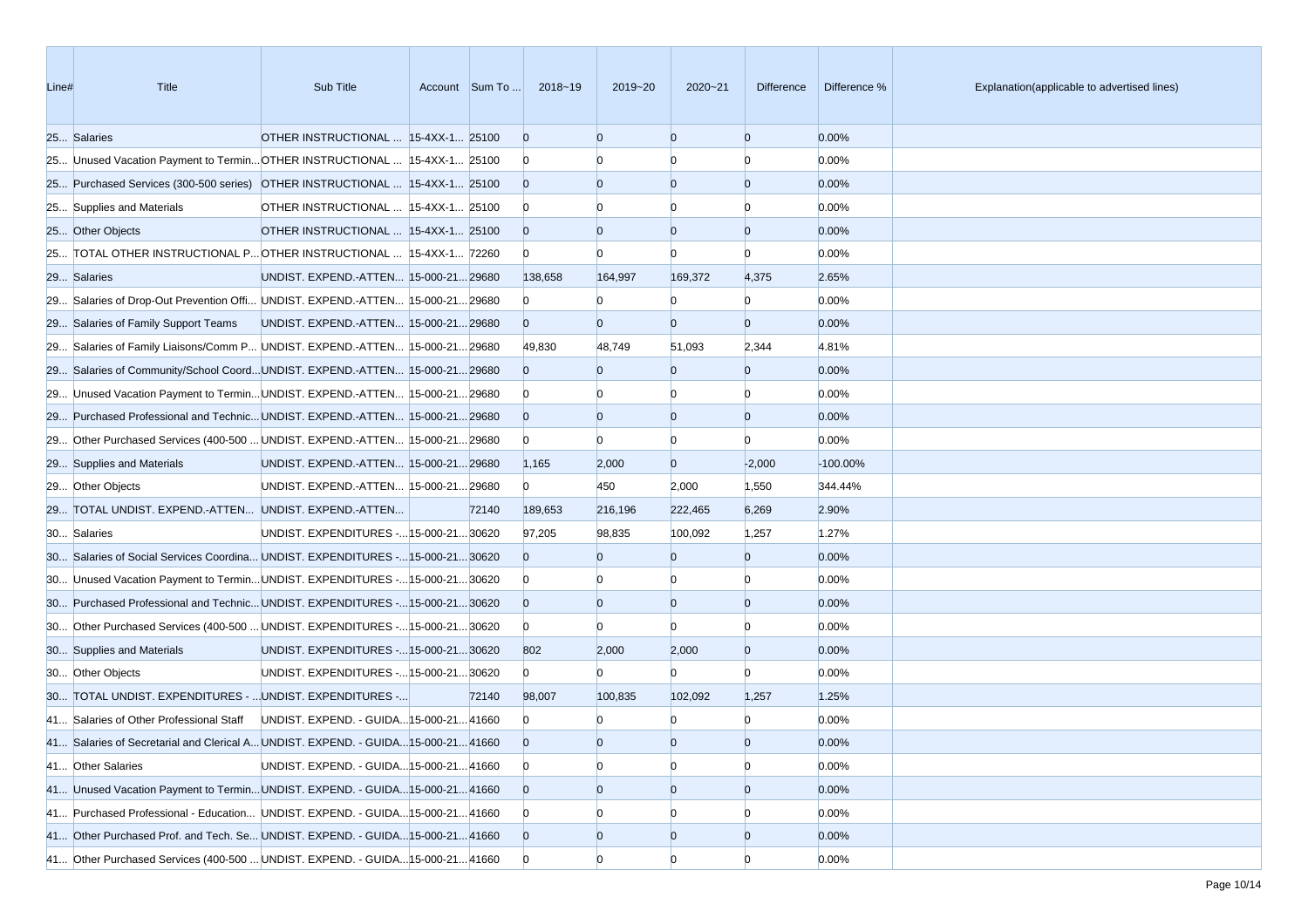| Line# | Title                                                                             | Sub Title                               | Account Sum To | 2018~19        | 2019~20        | 2020~21        | Difference     | Difference % | Explanation(applicable to advertised lines) |
|-------|-----------------------------------------------------------------------------------|-----------------------------------------|----------------|----------------|----------------|----------------|----------------|--------------|---------------------------------------------|
|       | 25 Salaries                                                                       | OTHER INSTRUCTIONAL  15-4XX-1 25100     |                | $\overline{0}$ | $\Omega$       | $\overline{0}$ | $\overline{0}$ | 0.00%        |                                             |
|       | 25 Unused Vacation Payment to Termin OTHER INSTRUCTIONAL  15-4XX-1 25100          |                                         |                | $\mathbf{0}$   |                | n              | n              | 0.00%        |                                             |
|       | 25 Purchased Services (300-500 series) OTHER INSTRUCTIONAL  15-4XX-1 25100        |                                         |                | $\overline{0}$ | $\Omega$       | $\overline{0}$ | $\overline{0}$ | 0.00%        |                                             |
|       | 25 Supplies and Materials                                                         | OTHER INSTRUCTIONAL  15-4XX-1 25100     |                | $\bf{0}$       |                | n              | n              | 0.00%        |                                             |
|       | 25 Other Objects                                                                  | OTHER INSTRUCTIONAL  15-4XX-1 25100     |                | $\overline{0}$ |                | $\overline{0}$ | $\overline{0}$ | 0.00%        |                                             |
|       | 25 TOTAL OTHER INSTRUCTIONAL P OTHER INSTRUCTIONAL  15-4XX-1 72260                |                                         |                | $\bf{0}$       |                | $\Omega$       | n              | 0.00%        |                                             |
|       | 29 Salaries                                                                       | UNDIST. EXPEND.-ATTEN 15-000-2129680    |                | 138,658        | 164,997        | 169,372        | 4,375          | 2.65%        |                                             |
|       | 29 Salaries of Drop-Out Prevention Offi UNDIST. EXPEND.-ATTEN 15-000-21 29680     |                                         |                | $\mathbf{0}$   |                | n              |                | 0.00%        |                                             |
|       | 29 Salaries of Family Support Teams                                               | UNDIST. EXPEND.-ATTEN 15-000-21 29680   |                | $\Omega$       | $\Omega$       | $\overline{0}$ | $\overline{0}$ | 0.00%        |                                             |
|       | 29 Salaries of Family Liaisons/Comm P UNDIST. EXPEND.-ATTEN 15-000-21 29680       |                                         |                | 49,830         | 48,749         | 51,093         | 2,344          | 4.81%        |                                             |
|       | 29 Salaries of Community/School CoordUNDIST. EXPEND.-ATTEN 15-000-2129680         |                                         |                | $\overline{0}$ | $\Omega$       | $\overline{0}$ | $\overline{0}$ | 0.00%        |                                             |
|       | 29 Unused Vacation Payment to Termin UNDIST. EXPEND.-ATTEN 15-000-21 29680        |                                         |                | $\bf{0}$       |                |                | n              | 0.00%        |                                             |
|       | 29 Purchased Professional and Technic UNDIST. EXPEND.-ATTEN 15-000-21 29680       |                                         |                | $\Omega$       | $\Omega$       | $\overline{0}$ | $\overline{0}$ | 0.00%        |                                             |
|       | 29 Other Purchased Services (400-500  UNDIST. EXPEND.-ATTEN  15-000-21 29680      |                                         |                | $\overline{0}$ | n              | $\Omega$       | n              | 0.00%        |                                             |
|       | 29 Supplies and Materials                                                         | UNDIST. EXPEND.-ATTEN 15-000-21 29680   |                | 1,165          | 2,000          | $\overline{0}$ | $-2,000$       | $-100.00%$   |                                             |
|       | 29 Other Objects                                                                  | UNDIST. EXPEND.-ATTEN 15-000-21 29680   |                | $\overline{0}$ | 450            | 2,000          | 1,550          | 344.44%      |                                             |
|       | 29 TOTAL UNDIST. EXPEND.-ATTEN UNDIST. EXPEND.-ATTEN                              |                                         | 72140          | 189,653        | 216,196        | 222,465        | 6,269          | 2.90%        |                                             |
|       | 30 Salaries                                                                       | UNDIST. EXPENDITURES - 15-000-21 30620  |                | 97,205         | 98,835         | 100,092        | 1,257          | 1.27%        |                                             |
|       | 30 Salaries of Social Services Coordina UNDIST. EXPENDITURES - 15-000-21 30620    |                                         |                | $\overline{0}$ | $\Omega$       | $\overline{0}$ | $\overline{0}$ | 0.00%        |                                             |
|       | 30 Unused Vacation Payment to TerminUNDIST. EXPENDITURES - 15-000-21 30620        |                                         |                | $\bf{0}$       |                |                | n              | 0.00%        |                                             |
|       | 30 Purchased Professional and Technic UNDIST. EXPENDITURES - 15-000-21 30620      |                                         |                | $\overline{0}$ | $\Omega$       | $\overline{0}$ | $\overline{0}$ | 0.00%        |                                             |
|       | 30 Other Purchased Services (400-500  UNDIST. EXPENDITURES - 15-000-21 30620      |                                         |                | $\overline{0}$ | $\Omega$       | $\Omega$       | $\Omega$       | 0.00%        |                                             |
|       | 30 Supplies and Materials                                                         | UNDIST. EXPENDITURES - 15-000-21 30620  |                | 802            | 2,000          | 2,000          | $\overline{0}$ | 0.00%        |                                             |
|       | 30 Other Objects                                                                  | UNDIST. EXPENDITURES - 15-000-21 30620  |                | $\overline{0}$ | $\mathbf{0}$   | n              | $\Omega$       | 0.00%        |                                             |
|       | 30 TOTAL UNDIST. EXPENDITURES -  UNDIST. EXPENDITURES -                           |                                         | 72140          | 98,007         | 100,835        | 102,092        | 1,257          | 1.25%        |                                             |
|       | 41 Salaries of Other Professional Staff                                           | UNDIST. EXPEND. - GUIDA 15-000-21 41660 |                | $\mathbf{0}$   |                |                |                | 0.00%        |                                             |
|       | 41 Salaries of Secretarial and Clerical A UNDIST. EXPEND. - GUIDA 15-000-21 41660 |                                         |                | $\overline{0}$ | $\Omega$       | $\Omega$       | $\Omega$       | 0.00%        |                                             |
|       | 41 Other Salaries                                                                 | UNDIST. EXPEND. - GUIDA 15-000-21 41660 |                | $\overline{0}$ | $\Omega$       | $\overline{0}$ | $\overline{0}$ | 0.00%        |                                             |
|       | 41 Unused Vacation Payment to Termin UNDIST. EXPEND. - GUIDA 15-000-21 41660      |                                         |                | $\overline{0}$ | $\overline{0}$ | $\overline{0}$ | $\overline{0}$ | 0.00%        |                                             |
|       | 41 Purchased Professional - Education UNDIST. EXPEND. - GUIDA 15-000-21 41660     |                                         |                | $\overline{0}$ |                |                |                | 0.00%        |                                             |
|       | 41 Other Purchased Prof. and Tech. Se UNDIST. EXPEND. - GUIDA 15-000-21 41660     |                                         |                | $\overline{0}$ | $\overline{0}$ | $\overline{0}$ | $\overline{0}$ | 0.00%        |                                             |
|       | 41 Other Purchased Services (400-500  UNDIST. EXPEND. - GUIDA 15-000-21 41660     |                                         |                | $\overline{0}$ | $\Omega$       | $\Omega$       | n              | 0.00%        |                                             |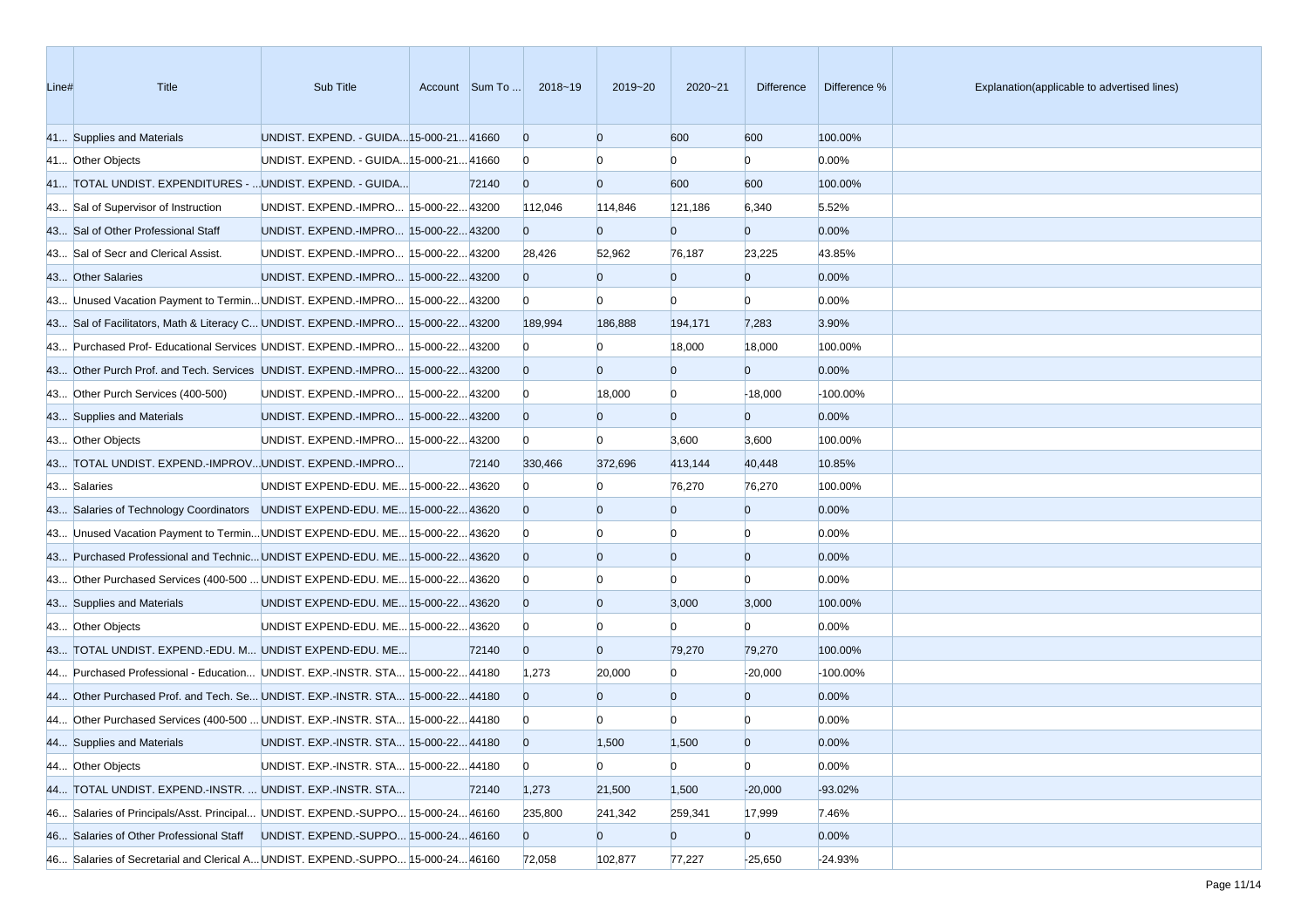| Line# | <b>Title</b>                                                                    | Sub Title                               | Account Sum To | 2018~19        | 2019~20        | $2020 - 21$    | Difference     | Difference % | Explanation(applicable to advertised lines) |
|-------|---------------------------------------------------------------------------------|-----------------------------------------|----------------|----------------|----------------|----------------|----------------|--------------|---------------------------------------------|
|       | 41 Supplies and Materials                                                       | UNDIST. EXPEND. - GUIDA 15-000-21 41660 |                | $\overline{0}$ | $\Omega$       | 600            | 600            | 100.00%      |                                             |
|       | 41 Other Objects                                                                | UNDIST. EXPEND. - GUIDA 15-000-21 41660 |                | $\bf{0}$       |                | n              | $\Omega$       | 0.00%        |                                             |
|       | 41 TOTAL UNDIST. EXPENDITURES -  UNDIST. EXPEND. - GUIDA                        |                                         | 72140          | $\overline{0}$ | $\Omega$       | 600            | 600            | 100.00%      |                                             |
|       | 43 Sal of Supervisor of Instruction                                             | UNDIST. EXPEND.-IMPRO 15-000-22 43200   |                | 112,046        | 114,846        | 121,186        | 6,340          | 5.52%        |                                             |
|       | 43 Sal of Other Professional Staff                                              | UNDIST. EXPEND.-IMPRO 15-000-22 43200   |                | $\overline{0}$ | $\Omega$       | $\overline{0}$ | $\overline{0}$ | 0.00%        |                                             |
|       | 43 Sal of Secr and Clerical Assist.                                             | UNDIST. EXPEND.-IMPRO 15-000-22 43200   |                | 28,426         | 52,962         | 76,187         | 23,225         | 43.85%       |                                             |
|       | 43 Other Salaries                                                               | UNDIST. EXPEND.-IMPRO 15-000-22 43200   |                | $\overline{0}$ | $\overline{0}$ | $\overline{0}$ | $\overline{0}$ | 0.00%        |                                             |
|       | 43 Unused Vacation Payment to Termin UNDIST. EXPEND.-IMPRO 15-000-22 43200      |                                         |                | $\bf{0}$       | $\Omega$       | $\Omega$       | $\Omega$       | 0.00%        |                                             |
|       | 43 Sal of Facilitators, Math & Literacy C UNDIST. EXPEND.-IMPRO 15-000-22 43200 |                                         |                | 189,994        | 186,888        | 194,171        | 7,283          | 3.90%        |                                             |
|       | 43 Purchased Prof- Educational Services UNDIST. EXPEND.-IMPRO 15-000-22 43200   |                                         |                | $\mathbf{0}$   | n              | 18,000         | 18,000         | 100.00%      |                                             |
|       | 43 Other Purch Prof. and Tech. Services UNDIST. EXPEND.-IMPRO 15-000-22 43200   |                                         |                | $\overline{0}$ | $\Omega$       | $\overline{0}$ | $\overline{0}$ | 0.00%        |                                             |
|       | 43 Other Purch Services (400-500)                                               | UNDIST. EXPEND.-IMPRO 15-000-22 43200   |                | $\bf{0}$       | 18,000         | $\overline{0}$ | $-18,000$      | -100.00%     |                                             |
|       | 43 Supplies and Materials                                                       | UNDIST. EXPEND.-IMPRO 15-000-22 43200   |                | $\overline{0}$ |                | $\overline{0}$ | $\overline{0}$ | 0.00%        |                                             |
|       | 43 Other Objects                                                                | UNDIST. EXPEND.-IMPRO 15-000-22 43200   |                | $\overline{0}$ | $\Omega$       | 3,600          | 3,600          | 100.00%      |                                             |
|       | 43 TOTAL UNDIST. EXPEND.-IMPROVUNDIST. EXPEND.-IMPRO                            |                                         | 72140          | 330,466        | 372,696        | 413,144        | 40,448         | 10.85%       |                                             |
|       | 43 Salaries                                                                     | UNDIST EXPEND-EDU. ME 15-000-22 43620   |                | $\mathbf{0}$   |                | 76,270         | 76,270         | 100.00%      |                                             |
|       | 43 Salaries of Technology Coordinators UNDIST EXPEND-EDU. ME 15-000-22 43620    |                                         |                | $\Omega$       | $\Omega$       | $\bf{0}$       | $\overline{0}$ | 0.00%        |                                             |
|       | 43 Unused Vacation Payment to Termin UNDIST EXPEND-EDU. ME 15-000-22 43620      |                                         |                | $\bf{0}$       |                | $\Omega$       | $\Omega$       | 0.00%        |                                             |
|       | 43 Purchased Professional and Technic UNDIST EXPEND-EDU. ME 15-000-22 43620     |                                         |                | $\overline{0}$ | $\Omega$       | $\overline{0}$ | $\overline{0}$ | 0.00%        |                                             |
|       | 43 Other Purchased Services (400-500  UNDIST EXPEND-EDU. ME 15-000-22 43620     |                                         |                | $\bf{0}$       |                | n              | n              | 0.00%        |                                             |
|       | 43 Supplies and Materials                                                       | UNDIST EXPEND-EDU. ME 15-000-22 43620   |                | $\overline{0}$ | $\overline{0}$ | 3,000          | 3,000          | 100.00%      |                                             |
|       | 43 Other Objects                                                                | UNDIST EXPEND-EDU. ME 15-000-22 43620   |                | $\bf{0}$       |                | n              | $\Omega$       | 0.00%        |                                             |
|       | 43 TOTAL UNDIST. EXPEND.-EDU. M UNDIST EXPEND-EDU. ME                           |                                         | 72140          | $\overline{0}$ | $\Omega$       | 79,270         | 79,270         | 100.00%      |                                             |
|       | 44 Purchased Professional - Education UNDIST. EXP.-INSTR. STA 15-000-22 44180   |                                         |                | 1,273          | 20,000         | $\Omega$       | $-20,000$      | $-100.00%$   |                                             |
|       | 44 Other Purchased Prof. and Tech. Se UNDIST. EXP.-INSTR. STA 15-000-22 44180   |                                         |                | $\Omega$       | $\Omega$       | $\overline{0}$ | $\overline{0}$ | 0.00%        |                                             |
|       | 44 Other Purchased Services (400-500  UNDIST. EXP.-INSTR. STA 15-000-22 44180   |                                         |                | $\bf{0}$       |                |                |                | 0.00%        |                                             |
|       | 44 Supplies and Materials                                                       | UNDIST. EXP.-INSTR. STA 15-000-2244180  |                | $\overline{0}$ | 1,500          | 1,500          | $\Omega$       | 0.00%        |                                             |
|       | 44 Other Objects                                                                | UNDIST. EXP.-INSTR. STA 15-000-22 44180 |                | $\mathbf{0}$   | $\mathbf{0}$   | $\overline{0}$ | $\overline{0}$ | 0.00%        |                                             |
|       | 44 TOTAL UNDIST. EXPEND.-INSTR.  UNDIST. EXP.-INSTR. STA                        |                                         | 72140          | 1,273          | 21,500         | 1,500          | $-20,000$      | $-93.02%$    |                                             |
|       | 46 Salaries of Principals/Asst. Principal UNDIST. EXPEND.-SUPPO 15-000-2446160  |                                         |                | 235,800        | 241,342        | 259,341        | 17,999         | 7.46%        |                                             |
|       | 46 Salaries of Other Professional Staff UNDIST. EXPEND.-SUPPO 15-000-24 46160   |                                         |                | $\overline{0}$ | $\bf{0}$       | $\overline{0}$ | $\overline{0}$ | 0.00%        |                                             |
|       | 46 Salaries of Secretarial and Clerical A UNDIST. EXPEND.-SUPPO 15-000-2446160  |                                         |                | 72,058         | 102,877        | 77,227         | $-25,650$      | $-24.93%$    |                                             |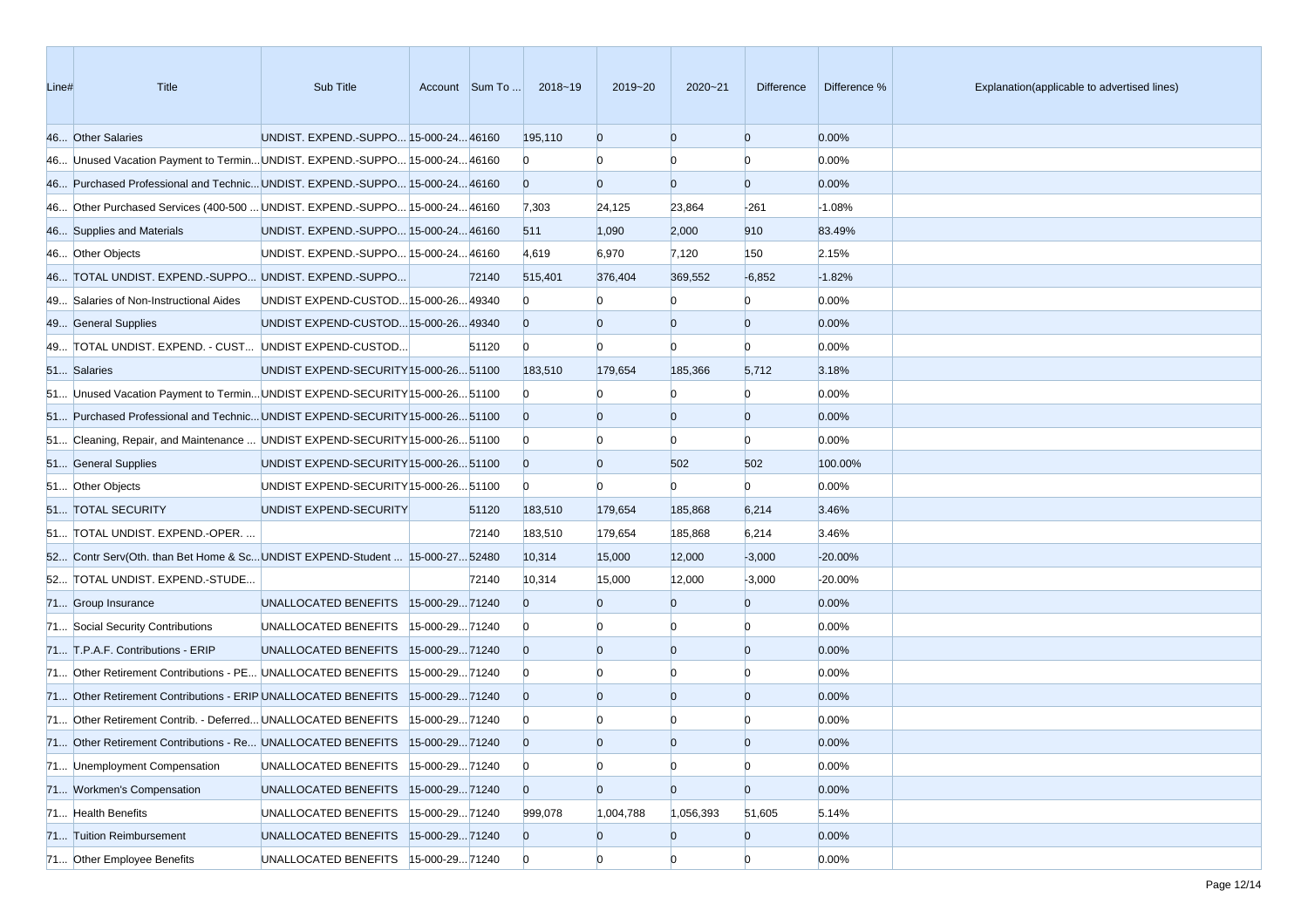| Line# | <b>Title</b>                                                                 | Sub Title                              |                | Account Sum To | 2018~19        | 2019~20        | $2020 - 21$    | Difference     | Difference % | Explanation(applicable to advertised lines) |
|-------|------------------------------------------------------------------------------|----------------------------------------|----------------|----------------|----------------|----------------|----------------|----------------|--------------|---------------------------------------------|
|       | 46 Other Salaries                                                            | UNDIST. EXPEND.-SUPPO 15-000-24 46160  |                |                | 195,110        | $\overline{0}$ | $\overline{0}$ | $\overline{0}$ | 0.00%        |                                             |
|       | 46 Unused Vacation Payment to Termin UNDIST. EXPEND.-SUPPO 15-000-24 46160   |                                        |                |                | $\bf{0}$       | $\Omega$       | $\Omega$       | $\Omega$       | 0.00%        |                                             |
|       | 46 Purchased Professional and Technic UNDIST. EXPEND.-SUPPO 15-000-24 46160  |                                        |                |                | $\Omega$       | $\overline{0}$ | $\overline{0}$ | $\overline{0}$ | 0.00%        |                                             |
|       | 46 Other Purchased Services (400-500  UNDIST. EXPEND.-SUPPO 15-000-24 46160  |                                        |                |                | 7,303          | 24,125         | 23,864         | $-261$         | $-1.08%$     |                                             |
|       | 46 Supplies and Materials                                                    | UNDIST. EXPEND.-SUPPO 15-000-24 46160  |                |                | 511            | 1,090          | 2,000          | 910            | 83.49%       |                                             |
|       | 46 Other Objects                                                             | UNDIST. EXPEND.-SUPPO 15-000-24 46160  |                |                | 4,619          | 6,970          | 7,120          | 150            | 2.15%        |                                             |
|       | 46 TOTAL UNDIST. EXPEND.-SUPPO UNDIST. EXPEND.-SUPPO                         |                                        |                | 72140          | 515,401        | 376,404        | 369,552        | $-6,852$       | $-1.82%$     |                                             |
|       | 49 Salaries of Non-Instructional Aides                                       | UNDIST EXPEND-CUSTOD 15-000-26 49340   |                |                | $\Omega$       |                | $\Omega$       | $\Omega$       | 0.00%        |                                             |
|       | 49 General Supplies                                                          | UNDIST EXPEND-CUSTOD 15-000-26 49340   |                |                | $\overline{0}$ | $\Omega$       | $\overline{0}$ | $\overline{0}$ | 0.00%        |                                             |
|       | 49 TOTAL UNDIST. EXPEND. - CUST UNDIST EXPEND-CUSTOD                         |                                        |                | 51120          | $\overline{0}$ | $\Omega$       | $\Omega$       | $\Omega$       | 0.00%        |                                             |
|       | 51 Salaries                                                                  | UNDIST EXPEND-SECURITY 15-000-26 51100 |                |                | 183,510        | 179,654        | 185,366        | 5,712          | 3.18%        |                                             |
|       | 51 Unused Vacation Payment to Termin UNDIST EXPEND-SECURITY 15-000-26 51100  |                                        |                |                | $\Omega$       |                | $\Omega$       | $\Omega$       | 0.00%        |                                             |
|       | 51 Purchased Professional and Technic UNDIST EXPEND-SECURITY 15-000-26 51100 |                                        |                |                | $\overline{0}$ |                | $\overline{0}$ | $\overline{0}$ | 0.00%        |                                             |
|       | 51 Cleaning, Repair, and Maintenance  UNDIST EXPEND-SECURITY 15-000-26 51100 |                                        |                |                | $\overline{0}$ |                | $\Omega$       | $\overline{0}$ | 0.00%        |                                             |
|       | 51 General Supplies                                                          | UNDIST EXPEND-SECURITY 15-000-26 51100 |                |                | $\overline{0}$ | $\overline{0}$ | 502            | 502            | 100.00%      |                                             |
|       | 51 Other Objects                                                             | UNDIST EXPEND-SECURITY 15-000-26 51100 |                |                | $\overline{0}$ | $\mathbf{0}$   | $\Omega$       | $\Omega$       | 0.00%        |                                             |
|       | 51 TOTAL SECURITY                                                            | UNDIST EXPEND-SECURITY                 |                | 51120          | 183,510        | 179,654        | 185,868        | 6,214          | 3.46%        |                                             |
|       | 51 TOTAL UNDIST. EXPEND.-OPER.                                               |                                        |                | 72140          | 183,510        | 179,654        | 185,868        | 6,214          | 3.46%        |                                             |
|       | 52 Contr Serv(Oth. than Bet Home & ScUNDIST EXPEND-Student  15-000-27 52480  |                                        |                |                | 10,314         | 15,000         | 12,000         | $-3,000$       | $-20.00%$    |                                             |
|       | 52 TOTAL UNDIST. EXPEND.-STUDE                                               |                                        |                | 72140          | 10,314         | 15,000         | 12,000         | $-3,000$       | $-20.00%$    |                                             |
|       | 71 Group Insurance                                                           | UNALLOCATED BENEFITS  15-000-2971240   |                |                | $\Omega$       | $\Omega$       | $\overline{0}$ | $\overline{0}$ | 0.00%        |                                             |
|       | 71 Social Security Contributions                                             | UNALLOCATED BENEFITS                   | 15-000-2971240 |                | $\bf{0}$       |                | $\Omega$       | $\Omega$       | 0.00%        |                                             |
|       | 71 T.P.A.F. Contributions - ERIP                                             | UNALLOCATED BENEFITS  15-000-2971240   |                |                | $\Omega$       | $\Omega$       | $\overline{0}$ | $\overline{0}$ | 0.00%        |                                             |
|       | 71 Other Retirement Contributions - PE UNALLOCATED BENEFITS                  |                                        | 15-000-2971240 |                | $\overline{0}$ |                | $\Omega$       | $\Omega$       | 0.00%        |                                             |
|       | 71 Other Retirement Contributions - ERIP UNALLOCATED BENEFITS                |                                        | 15-000-2971240 |                | $\Omega$       | $\Omega$       | $\overline{0}$ | $\overline{0}$ | 0.00%        |                                             |
|       | 71 Other Retirement Contrib. - Deferred UNALLOCATED BENEFITS                 |                                        | 15-000-2971240 |                | $\bf{0}$       |                |                | n              | 0.00%        |                                             |
|       | 71 Other Retirement Contributions - Re UNALLOCATED BENEFITS  15-000-29 71240 |                                        |                |                | $\Omega$       | $\Omega$       | $\Omega$       | $\Omega$       | 0.00%        |                                             |
|       | 71 Unemployment Compensation                                                 | UNALLOCATED BENEFITS                   | 15-000-2971240 |                | $\overline{0}$ | $\overline{0}$ | $\overline{0}$ | $\overline{0}$ | 0.00%        |                                             |
|       | 71 Workmen's Compensation                                                    | UNALLOCATED BENEFITS                   | 15-000-2971240 |                | $\overline{0}$ | $\overline{0}$ | $\overline{0}$ | $\overline{0}$ | 0.00%        |                                             |
|       | 71 Health Benefits                                                           | UNALLOCATED BENEFITS                   | 15-000-2971240 |                | 999,078        | 1,004,788      | 1,056,393      | 51,605         | 5.14%        |                                             |
|       | 71 Tuition Reimbursement                                                     | UNALLOCATED BENEFITS 15-000-29 71240   |                |                | $\overline{0}$ | $\mathbf{0}$   | $\overline{0}$ | $\overline{0}$ | 0.00%        |                                             |
|       | 71 Other Employee Benefits                                                   | UNALLOCATED BENEFITS 15-000-2971240    |                |                | $\overline{0}$ | $\overline{0}$ | $\overline{0}$ | $\overline{0}$ | 0.00%        |                                             |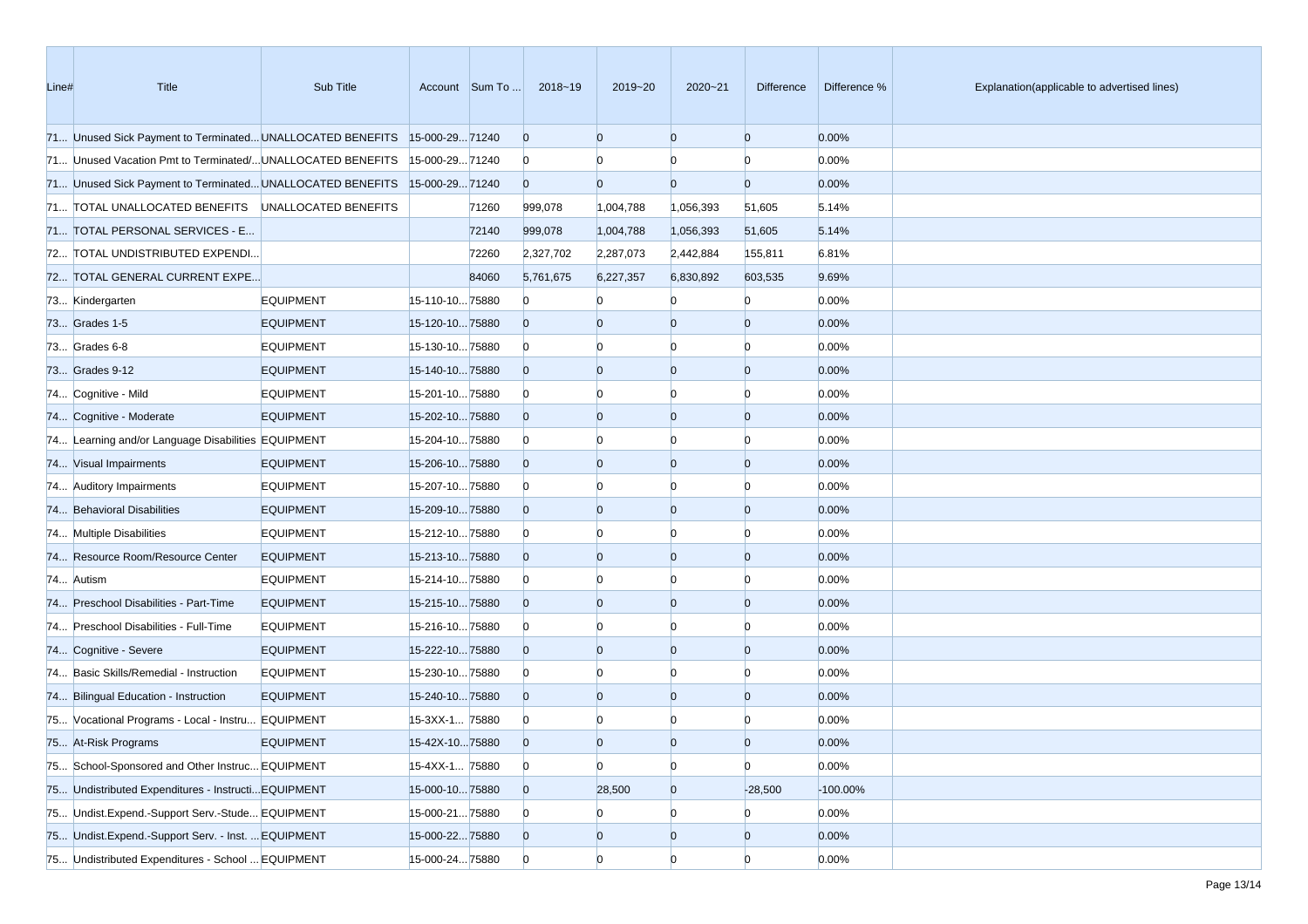| Line# | Title                                                                     | Sub Title        |                 | Account Sum To | 2018~19        | 2019~20        | 2020~21        | Difference     | Difference % | Explanation(applicable to advertised lines) |
|-------|---------------------------------------------------------------------------|------------------|-----------------|----------------|----------------|----------------|----------------|----------------|--------------|---------------------------------------------|
|       | 71 Unused Sick Payment to Terminated UNALLOCATED BENEFITS 15-000-29 71240 |                  |                 |                | $\overline{0}$ | $\overline{0}$ | $\overline{0}$ | $\mathbf{0}$   | 0.00%        |                                             |
|       | 71 Unused Vacation Pmt to Terminated/UNALLOCATED BENEFITS                 |                  | 15-000-2971240  |                | $\bf{0}$       |                |                | $\Omega$       | 0.00%        |                                             |
|       | 71 Unused Sick Payment to Terminated UNALLOCATED BENEFITS 15-000-29 71240 |                  |                 |                | $\overline{0}$ | $\Omega$       | $\Omega$       | $\overline{0}$ | 0.00%        |                                             |
|       | 71 TOTAL UNALLOCATED BENEFITS UNALLOCATED BENEFITS                        |                  |                 | 71260          | 999,078        | 1,004,788      | 1,056,393      | 51,605         | 5.14%        |                                             |
|       | 71 TOTAL PERSONAL SERVICES - E                                            |                  |                 | 72140          | 999,078        | 1,004,788      | 1,056,393      | 51,605         | 5.14%        |                                             |
|       | 72 TOTAL UNDISTRIBUTED EXPENDI                                            |                  |                 | 72260          | 2,327,702      | 2,287,073      | 2,442,884      | 155,811        | 6.81%        |                                             |
|       | 72 TOTAL GENERAL CURRENT EXPE                                             |                  |                 | 84060          | 5,761,675      | 6,227,357      | 6,830,892      | 603,535        | 9.69%        |                                             |
|       | 73 Kindergarten                                                           | <b>EQUIPMENT</b> | 15-110-1075880  |                | $\Omega$       |                |                | $\Omega$       | 0.00%        |                                             |
|       | 73 Grades 1-5                                                             | <b>EQUIPMENT</b> | 15-120-1075880  |                | $\overline{0}$ | $\Omega$       | $\Omega$       | $\Omega$       | 0.00%        |                                             |
|       | 73 Grades 6-8                                                             | <b>EQUIPMENT</b> | 15-130-1075880  |                | $\bf{0}$       |                | Ю              | n              | 0.00%        |                                             |
|       | 73 Grades 9-12                                                            | <b>EQUIPMENT</b> | 15-140-1075880  |                | $\overline{0}$ | $\overline{0}$ | $\mathbf{0}$   | $\Omega$       | 0.00%        |                                             |
|       | 74 Cognitive - Mild                                                       | <b>EQUIPMENT</b> | 15-201-1075880  |                | $\bf{0}$       |                | Ю              | n              | 0.00%        |                                             |
|       | 74 Cognitive - Moderate                                                   | <b>EQUIPMENT</b> | 15-202-1075880  |                | $\overline{0}$ | $\Omega$       | $\mathbf{0}$   | $\Omega$       | 0.00%        |                                             |
|       | 74 Learning and/or Language Disabilities EQUIPMENT                        |                  | 15-204-1075880  |                | $\bf{0}$       |                | Ю              |                | 0.00%        |                                             |
|       | 74 Visual Impairments                                                     | <b>EQUIPMENT</b> | 15-206-1075880  |                | $\overline{0}$ | $\overline{0}$ | $\overline{0}$ | $\Omega$       | 0.00%        |                                             |
|       | 74 Auditory Impairments                                                   | <b>EQUIPMENT</b> | 15-207-1075880  |                | $\bf{0}$       |                | Ю              | n              | 0.00%        |                                             |
|       | 74 Behavioral Disabilities                                                | <b>EQUIPMENT</b> | 15-209-1075880  |                | $\overline{0}$ | $\overline{0}$ | $\mathbf{0}$   | $\Omega$       | 0.00%        |                                             |
|       | 74 Multiple Disabilities                                                  | <b>EQUIPMENT</b> | 15-212-1075880  |                | $\bf{0}$       |                | Ю              |                | 0.00%        |                                             |
|       | 74 Resource Room/Resource Center                                          | <b>EQUIPMENT</b> | 15-213-1075880  |                | $\overline{0}$ | $\overline{0}$ | $\overline{0}$ | $\Omega$       | 0.00%        |                                             |
|       | 74 Autism                                                                 | <b>EQUIPMENT</b> | 15-214-1075880  |                | $\bf{0}$       |                | Ю              |                | 0.00%        |                                             |
|       | 74 Preschool Disabilities - Part-Time                                     | <b>EQUIPMENT</b> | 15-215-1075880  |                | $\overline{0}$ | $\overline{0}$ | $\mathbf{0}$   | $\Omega$       | 0.00%        |                                             |
|       | 74 Preschool Disabilities - Full-Time                                     | <b>EQUIPMENT</b> | 15-216-1075880  |                | $\bf{0}$       |                | Ю              |                | 0.00%        |                                             |
|       | 74 Cognitive - Severe                                                     | <b>EQUIPMENT</b> | 15-222-1075880  |                | $\overline{0}$ | $\overline{0}$ | $\mathbf{0}$   | $\Omega$       | 0.00%        |                                             |
|       | 74 Basic Skills/Remedial - Instruction                                    | <b>EQUIPMENT</b> | 15-230-1075880  |                | $\bf{0}$       |                | $\Omega$       |                | 0.00%        |                                             |
|       | 74 Bilingual Education - Instruction                                      | <b>EQUIPMENT</b> | 15-240-1075880  |                | $\overline{0}$ | $\Omega$       | $\overline{0}$ | $\Omega$       | 0.00%        |                                             |
|       | 75 Vocational Programs - Local - Instru EQUIPMENT                         |                  | 15-3XX-1 75880  |                | $\bf{0}$       |                |                |                | 0.00%        |                                             |
|       | 75 At-Risk Programs                                                       | <b>EQUIPMENT</b> | 15-42X-1075880  |                | $\Omega$       | $\Omega$       | $\Omega$       |                | 0.00%        |                                             |
|       | 75 School-Sponsored and Other Instruc EQUIPMENT                           |                  | 15-4XX-1 75880  |                | $\overline{0}$ | $\overline{0}$ | $\bf{0}$       | $\overline{0}$ | 0.00%        |                                             |
|       | 75 Undistributed Expenditures - Instructi EQUIPMENT                       |                  | 15-000-1075880  |                | $\overline{0}$ | 28,500         | $\overline{0}$ | $-28,500$      | $-100.00\%$  |                                             |
|       | 75 Undist.Expend.-Support Serv.-Stude EQUIPMENT                           |                  | 15-000-2175880  |                | $\mathbf{0}$   | $\bf{0}$       | $\bf{0}$       | $\mathbf{0}$   | 0.00%        |                                             |
|       | 75 Undist.Expend.-Support Serv. - Inst.  EQUIPMENT                        |                  | 15-000-2275880  |                | $\overline{0}$ | $\bf{0}$       | $\overline{0}$ | $\mathbf{0}$   | 0.00%        |                                             |
|       | 75 Undistributed Expenditures - School  EQUIPMENT                         |                  | 15-000-24 75880 |                | $\overline{0}$ | $\overline{0}$ | $\overline{0}$ | $\overline{0}$ | 0.00%        |                                             |